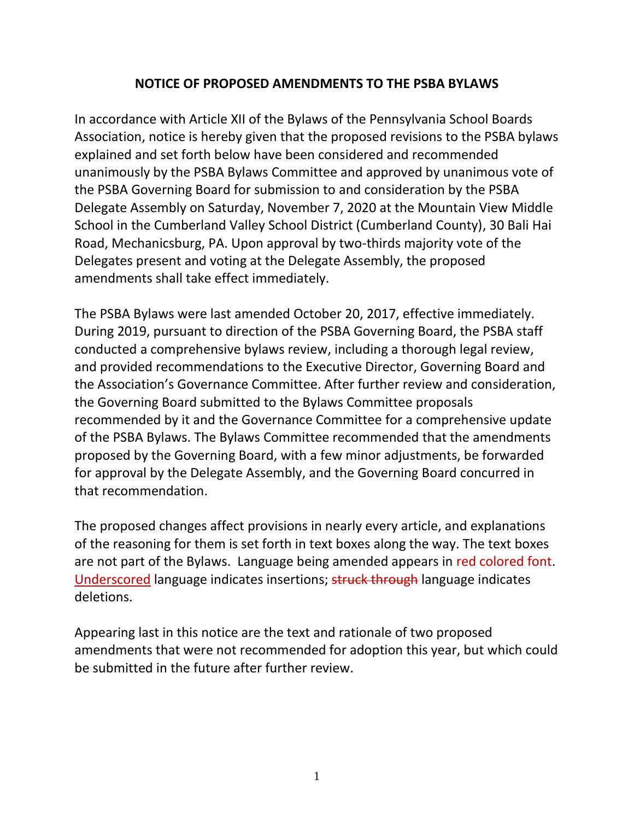## **NOTICE OF PROPOSED AMENDMENTS TO THE PSBA BYLAWS**

In accordance with Article XII of the Bylaws of the Pennsylvania School Boards Association, notice is hereby given that the proposed revisions to the PSBA bylaws explained and set forth below have been considered and recommended unanimously by the PSBA Bylaws Committee and approved by unanimous vote of the PSBA Governing Board for submission to and consideration by the PSBA Delegate Assembly on Saturday, November 7, 2020 at the Mountain View Middle School in the Cumberland Valley School District (Cumberland County), 30 Bali Hai Road, Mechanicsburg, PA. Upon approval by two-thirds majority vote of the Delegates present and voting at the Delegate Assembly, the proposed amendments shall take effect immediately.

The PSBA Bylaws were last amended October 20, 2017, effective immediately. During 2019, pursuant to direction of the PSBA Governing Board, the PSBA staff conducted a comprehensive bylaws review, including a thorough legal review, and provided recommendations to the Executive Director, Governing Board and the Association's Governance Committee. After further review and consideration, the Governing Board submitted to the Bylaws Committee proposals recommended by it and the Governance Committee for a comprehensive update of the PSBA Bylaws. The Bylaws Committee recommended that the amendments proposed by the Governing Board, with a few minor adjustments, be forwarded for approval by the Delegate Assembly, and the Governing Board concurred in that recommendation.

The proposed changes affect provisions in nearly every article, and explanations of the reasoning for them is set forth in text boxes along the way. The text boxes are not part of the Bylaws. Language being amended appears in red colored font. Underscored language indicates insertions; struck through language indicates deletions.

Appearing last in this notice are the text and rationale of two proposed amendments that were not recommended for adoption this year, but which could be submitted in the future after further review.

1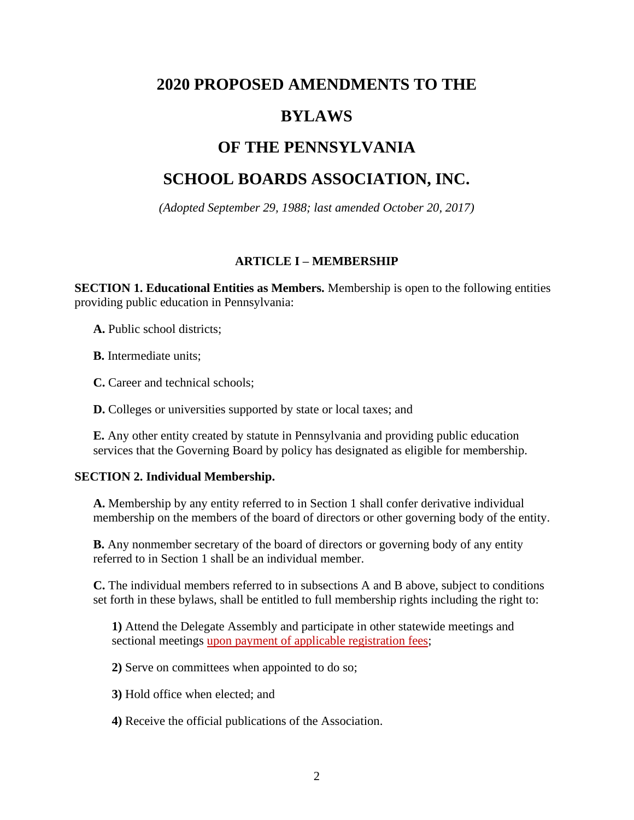# **2020 PROPOSED AMENDMENTS TO THE**

# **BYLAWS**

# **OF THE PENNSYLVANIA**

# **SCHOOL BOARDS ASSOCIATION, INC.**

*(Adopted September 29, 1988; last amended October 20, 2017)*

## **ARTICLE I – MEMBERSHIP**

**SECTION 1. Educational Entities as Members.** Membership is open to the following entities providing public education in Pennsylvania:

**A.** Public school districts;

**B.** Intermediate units;

**C.** Career and technical schools;

**D.** Colleges or universities supported by state or local taxes; and

**E.** Any other entity created by statute in Pennsylvania and providing public education services that the Governing Board by policy has designated as eligible for membership.

## **SECTION 2. Individual Membership.**

**A.** Membership by any entity referred to in Section 1 shall confer derivative individual membership on the members of the board of directors or other governing body of the entity.

**B.** Any nonmember secretary of the board of directors or governing body of any entity referred to in Section 1 shall be an individual member.

**C.** The individual members referred to in subsections A and B above, subject to conditions set forth in these bylaws, shall be entitled to full membership rights including the right to:

**1)** Attend the Delegate Assembly and participate in other statewide meetings and sectional meetings upon payment of applicable registration fees;

**2)** Serve on committees when appointed to do so;

**3)** Hold office when elected; and

**4)** Receive the official publications of the Association.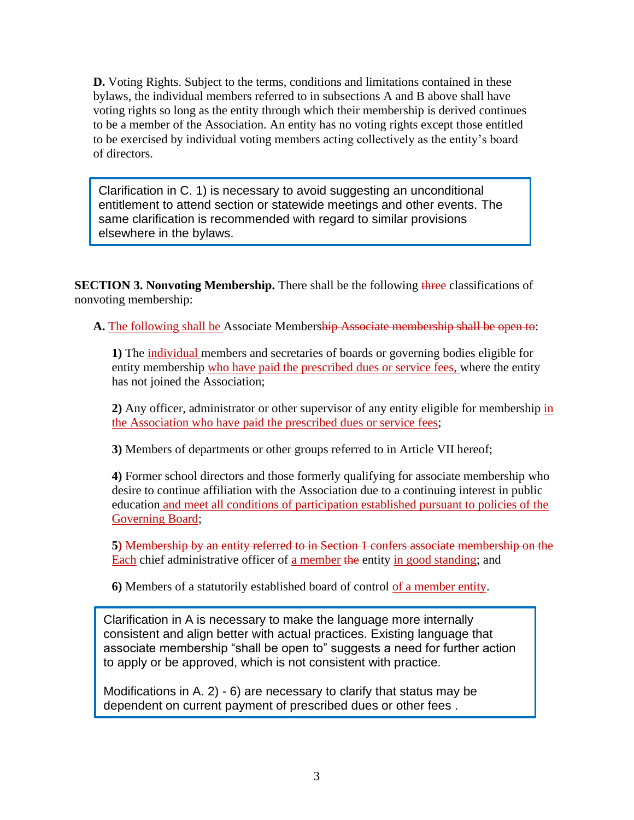**D.** Voting Rights. Subject to the terms, conditions and limitations contained in these bylaws, the individual members referred to in subsections A and B above shall have voting rights so long as the entity through which their membership is derived continues to be a member of the Association. An entity has no voting rights except those entitled to be exercised by individual voting members acting collectively as the entity's board of directors.

Clarification in C. 1) is necessary to avoid suggesting an unconditional entitlement to attend section or statewide meetings and other events. The same clarification is recommended with regard to similar provisions elsewhere in the bylaws.

**SECTION 3. Nonvoting Membership.** There shall be the following three classifications of nonvoting membership:

**A.** The following shall be Associate Membership Associate membership shall be open to:

**1)** The individual members and secretaries of boards or governing bodies eligible for entity membership who have paid the prescribed dues or service fees, where the entity has not joined the Association;

**2)** Any officer, administrator or other supervisor of any entity eligible for membership in the Association who have paid the prescribed dues or service fees;

**3)** Members of departments or other groups referred to in Article VII hereof;

**4)** Former school directors and those formerly qualifying for associate membership who desire to continue affiliation with the Association due to a continuing interest in public education and meet all conditions of participation established pursuant to policies of the Governing Board;

**5)** Membership by an entity referred to in Section 1 confers associate membership on the Each chief administrative officer of a member the entity in good standing; and

**6)** Members of a statutorily established board of control of a member entity.

Clarification in A is necessary to make the language more internally consistent and align better with actual practices. Existing language that associate membership "shall be open to" suggests a need for further action to apply or be approved, which is not consistent with practice.

Modifications in A. 2) - 6) are necessary to clarify that status may be dependent on current payment of prescribed dues or other fees .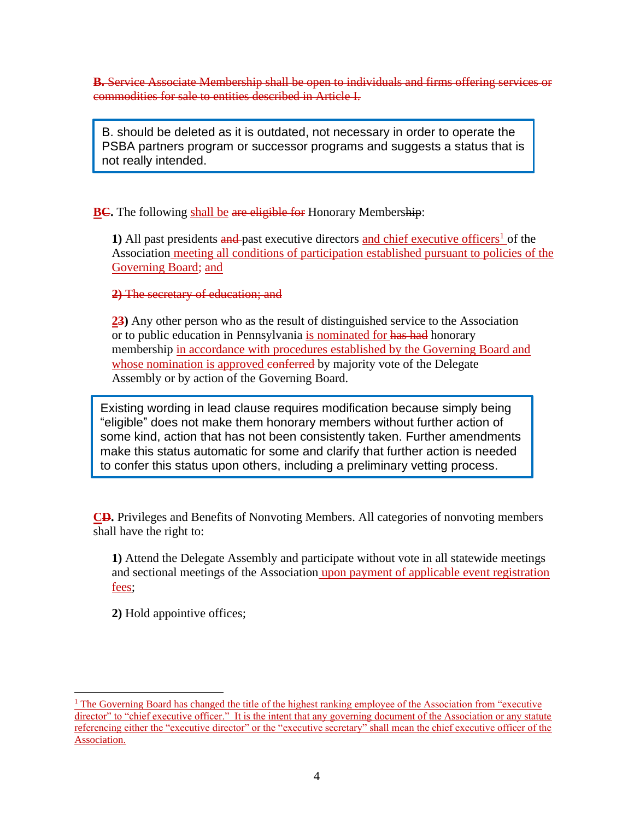**B.** Service Associate Membership shall be open to individuals and firms offering services or commodities for sale to entities described in Article I.

B. should be deleted as it is outdated, not necessary in order to operate the PSBA partners program or successor programs and suggests a status that is not really intended.

**BC.** The following shall be are eligible for Honorary Membership:

1) All past presidents and past executive directors and chief executive officers<sup>1</sup> of the Association meeting all conditions of participation established pursuant to policies of the Governing Board; and

**2)** The secretary of education; and

**23)** Any other person who as the result of distinguished service to the Association or to public education in Pennsylvania is nominated for has had honorary membership in accordance with procedures established by the Governing Board and whose nomination is approved conferred by majority vote of the Delegate Assembly or by action of the Governing Board.

Existing wording in lead clause requires modification because simply being "eligible" does not make them honorary members without further action of some kind, action that has not been consistently taken. Further amendments make this status automatic for some and clarify that further action is needed to confer this status upon others, including a preliminary vetting process.

**CD.** Privileges and Benefits of Nonvoting Members. All categories of nonvoting members shall have the right to:

**1)** Attend the Delegate Assembly and participate without vote in all statewide meetings and sectional meetings of the Association upon payment of applicable event registration fees;

**2)** Hold appointive offices;

 $<sup>1</sup>$  The Governing Board has changed the title of the highest ranking employee of the Association from "executive"</sup> director" to "chief executive officer." It is the intent that any governing document of the Association or any statute referencing either the "executive director" or the "executive secretary" shall mean the chief executive officer of the Association.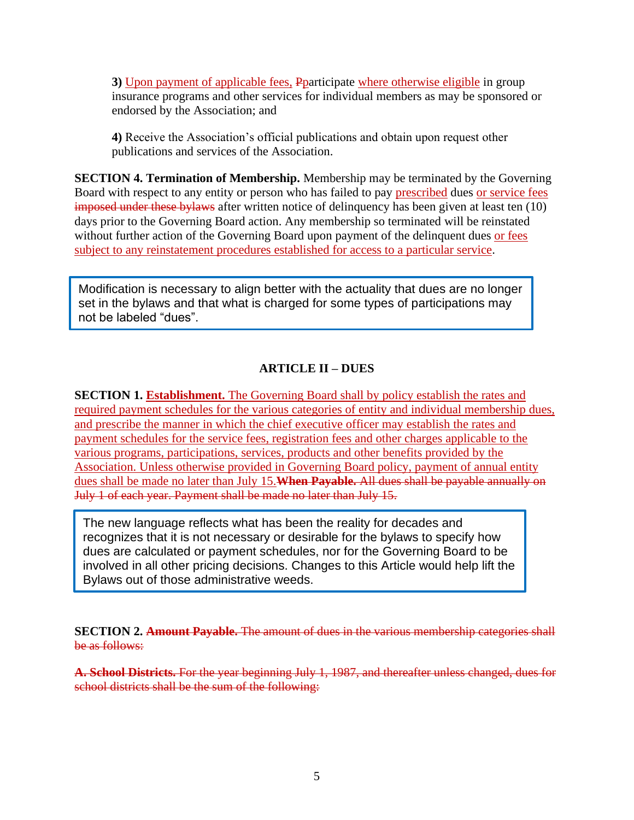**3)** Upon payment of applicable fees, Pparticipate where otherwise eligible in group insurance programs and other services for individual members as may be sponsored or endorsed by the Association; and

**4)** Receive the Association's official publications and obtain upon request other publications and services of the Association.

**SECTION 4. Termination of Membership.** Membership may be terminated by the Governing Board with respect to any entity or person who has failed to pay prescribed dues or service fees imposed under these bylaws after written notice of delinquency has been given at least ten (10) days prior to the Governing Board action. Any membership so terminated will be reinstated without further action of the Governing Board upon payment of the delinquent dues or fees subject to any reinstatement procedures established for access to a particular service.

Modification is necessary to align better with the actuality that dues are no longer set in the bylaws and that what is charged for some types of participations may not be labeled "dues".

## **ARTICLE II – DUES**

**SECTION 1. Establishment.** The Governing Board shall by policy establish the rates and required payment schedules for the various categories of entity and individual membership dues, and prescribe the manner in which the chief executive officer may establish the rates and payment schedules for the service fees, registration fees and other charges applicable to the various programs, participations, services, products and other benefits provided by the Association. Unless otherwise provided in Governing Board policy, payment of annual entity dues shall be made no later than July 15.**When Payable.** All dues shall be payable annually on July 1 of each year. Payment shall be made no later than July 15.

The new language reflects what has been the reality for decades and recognizes that it is not necessary or desirable for the bylaws to specify how dues are calculated or payment schedules, nor for the Governing Board to be involved in all other pricing decisions. Changes to this Article would help lift the Bylaws out of those administrative weeds.

**SECTION 2. Amount Payable.** The amount of dues in the various membership categories shall be as follows:

**A. School Districts.** For the year beginning July 1, 1987, and thereafter unless changed, dues for school districts shall be the sum of the following: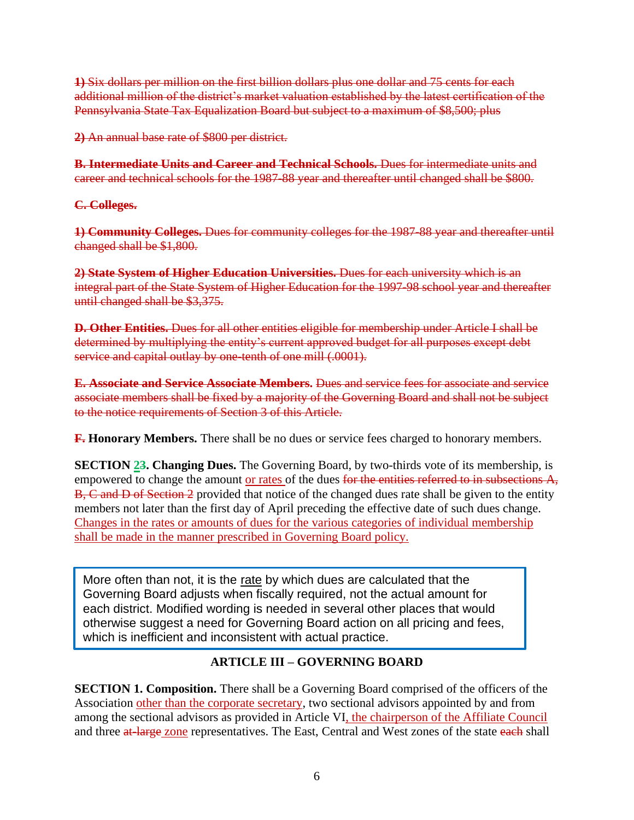**1)** Six dollars per million on the first billion dollars plus one dollar and 75 cents for each additional million of the district's market valuation established by the latest certification of the Pennsylvania State Tax Equalization Board but subject to a maximum of \$8,500; plus

**2)** An annual base rate of \$800 per district.

**B. Intermediate Units and Career and Technical Schools.** Dues for intermediate units and career and technical schools for the 1987-88 year and thereafter until changed shall be \$800.

#### **C. Colleges.**

**1) Community Colleges.** Dues for community colleges for the 1987-88 year and thereafter until changed shall be \$1,800.

**2) State System of Higher Education Universities.** Dues for each university which is an integral part of the State System of Higher Education for the 1997-98 school year and thereafter until changed shall be \$3,375.

**D. Other Entities.** Dues for all other entities eligible for membership under Article I shall be determined by multiplying the entity's current approved budget for all purposes except debt service and capital outlay by one-tenth of one mill (.0001).

**E. Associate and Service Associate Members.** Dues and service fees for associate and service associate members shall be fixed by a majority of the Governing Board and shall not be subject to the notice requirements of Section 3 of this Article.

**F. Honorary Members.** There shall be no dues or service fees charged to honorary members.

**SECTION 23. Changing Dues.** The Governing Board, by two-thirds vote of its membership, is empowered to change the amount or rates of the dues for the entities referred to in subsections A, B, C and D of Section 2 provided that notice of the changed dues rate shall be given to the entity members not later than the first day of April preceding the effective date of such dues change. Changes in the rates or amounts of dues for the various categories of individual membership shall be made in the manner prescribed in Governing Board policy.

More often than not, it is the rate by which dues are calculated that the Governing Board adjusts when fiscally required, not the actual amount for each district. Modified wording is needed in several other places that would otherwise suggest a need for Governing Board action on all pricing and fees, which is inefficient and inconsistent with actual practice.

## **ARTICLE III – GOVERNING BOARD**

**SECTION 1. Composition.** There shall be a Governing Board comprised of the officers of the Association other than the corporate secretary, two sectional advisors appointed by and from among the sectional advisors as provided in Article VI, the chairperson of the Affiliate Council and three at-large zone representatives. The East, Central and West zones of the state each shall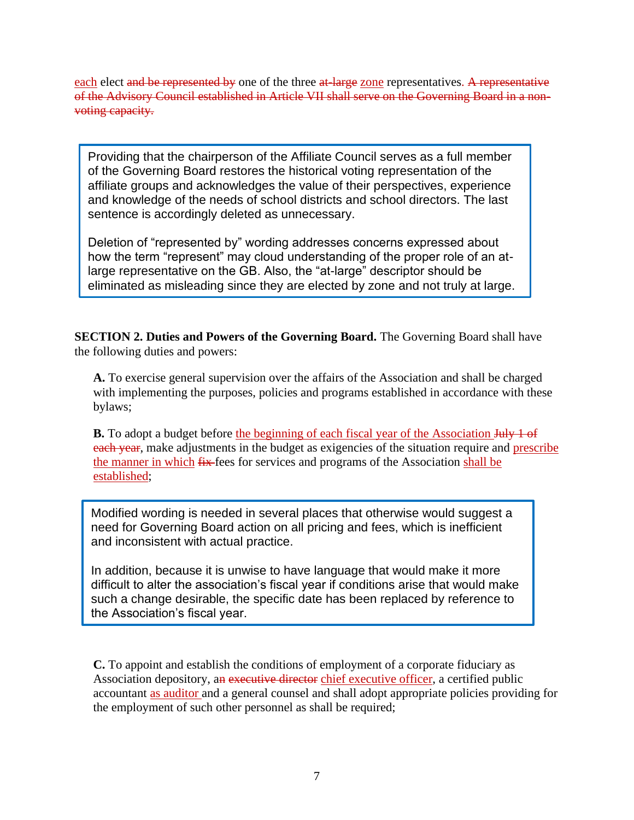each elect and be represented by one of the three at-large zone representatives. A representative of the Advisory Council established in Article VII shall serve on the Governing Board in a nonvoting capacity.

Providing that the chairperson of the Affiliate Council serves as a full member of the Governing Board restores the historical voting representation of the affiliate groups and acknowledges the value of their perspectives, experience and knowledge of the needs of school districts and school directors. The last sentence is accordingly deleted as unnecessary.

Deletion of "represented by" wording addresses concerns expressed about how the term "represent" may cloud understanding of the proper role of an atlarge representative on the GB. Also, the "at-large" descriptor should be eliminated as misleading since they are elected by zone and not truly at large.

**SECTION 2. Duties and Powers of the Governing Board.** The Governing Board shall have the following duties and powers:

**A.** To exercise general supervision over the affairs of the Association and shall be charged with implementing the purposes, policies and programs established in accordance with these bylaws;

**B.** To adopt a budget before the beginning of each fiscal year of the Association July 1 of each year, make adjustments in the budget as exigencies of the situation require and prescribe the manner in which  $fix$  fees for services and programs of the Association shall be established;

Modified wording is needed in several places that otherwise would suggest a need for Governing Board action on all pricing and fees, which is inefficient and inconsistent with actual practice.

In addition, because it is unwise to have language that would make it more difficult to alter the association's fiscal year if conditions arise that would make such a change desirable, the specific date has been replaced by reference to the Association's fiscal year.

**C.** To appoint and establish the conditions of employment of a corporate fiduciary as Association depository, an executive director chief executive officer, a certified public accountant as auditor and a general counsel and shall adopt appropriate policies providing for the employment of such other personnel as shall be required;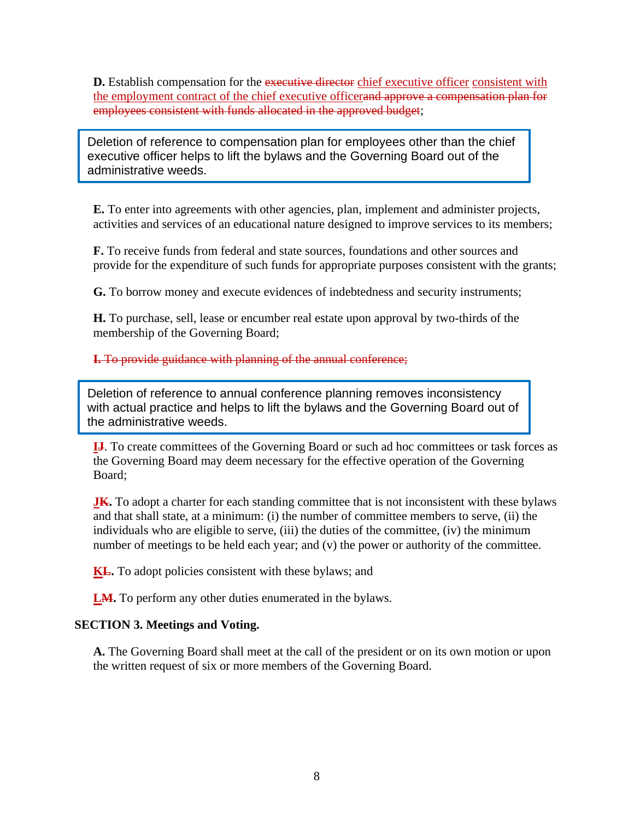**D.** Establish compensation for the executive director chief executive officer consistent with the employment contract of the chief executive officerand approve a compensation plan for employees consistent with funds allocated in the approved budget;

Deletion of reference to compensation plan for employees other than the chief executive officer helps to lift the bylaws and the Governing Board out of the administrative weeds.

**E.** To enter into agreements with other agencies, plan, implement and administer projects, activities and services of an educational nature designed to improve services to its members;

**F.** To receive funds from federal and state sources, foundations and other sources and provide for the expenditure of such funds for appropriate purposes consistent with the grants;

**G.** To borrow money and execute evidences of indebtedness and security instruments;

**H.** To purchase, sell, lease or encumber real estate upon approval by two-thirds of the membership of the Governing Board;

**I.** To provide guidance with planning of the annual conference;

Deletion of reference to annual conference planning removes inconsistency with actual practice and helps to lift the bylaws and the Governing Board out of the administrative weeds.

**IJ**. To create committees of the Governing Board or such ad hoc committees or task forces as the Governing Board may deem necessary for the effective operation of the Governing Board;

**JK.** To adopt a charter for each standing committee that is not inconsistent with these bylaws and that shall state, at a minimum: (i) the number of committee members to serve, (ii) the individuals who are eligible to serve, (iii) the duties of the committee, (iv) the minimum number of meetings to be held each year; and (v) the power or authority of the committee.

**KL.** To adopt policies consistent with these bylaws; and

**LM.** To perform any other duties enumerated in the bylaws.

## **SECTION 3. Meetings and Voting.**

**A.** The Governing Board shall meet at the call of the president or on its own motion or upon the written request of six or more members of the Governing Board.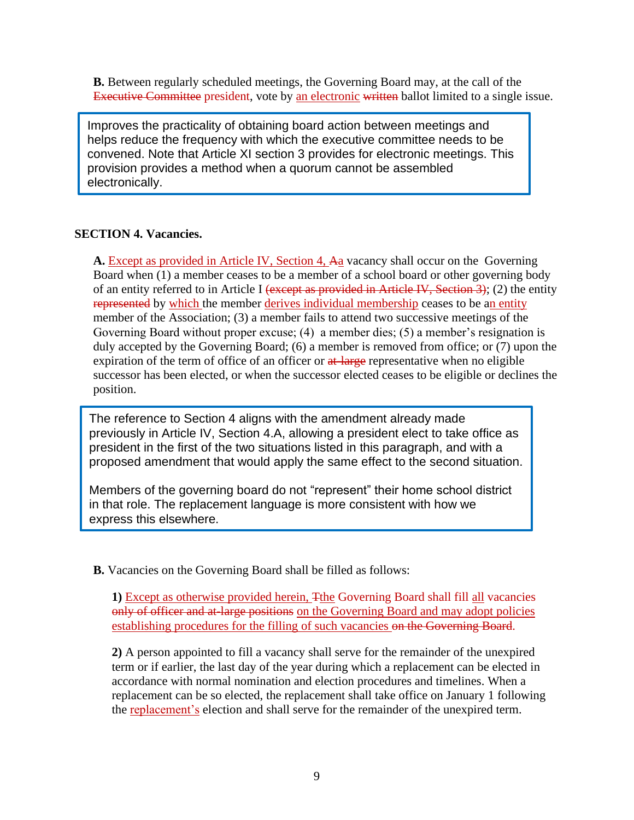**B.** Between regularly scheduled meetings, the Governing Board may, at the call of the Executive Committee president, vote by an electronic written ballot limited to a single issue.

Improves the practicality of obtaining board action between meetings and helps reduce the frequency with which the executive committee needs to be convened. Note that Article XI section 3 provides for electronic meetings. This provision provides a method when a quorum cannot be assembled electronically.

#### **SECTION 4. Vacancies.**

A. Except as provided in Article IV, Section 4, Aa vacancy shall occur on the Governing Board when (1) a member ceases to be a member of a school board or other governing body of an entity referred to in Article I (except as provided in Article IV, Section 3); (2) the entity represented by which the member derives individual membership ceases to be an entity member of the Association; (3) a member fails to attend two successive meetings of the Governing Board without proper excuse; (4) a member dies; (5) a member's resignation is duly accepted by the Governing Board; (6) a member is removed from office; or (7) upon the expiration of the term of office of an officer or at large representative when no eligible successor has been elected, or when the successor elected ceases to be eligible or declines the position.

The reference to Section 4 aligns with the amendment already made previously in Article IV, Section 4.A, allowing a president elect to take office as president in the first of the two situations listed in this paragraph, and with a proposed amendment that would apply the same effect to the second situation.

Members of the governing board do not "represent" their home school district in that role. The replacement language is more consistent with how we express this elsewhere.

**B.** Vacancies on the Governing Board shall be filled as follows:

**1)** Except as otherwise provided herein, Tthe Governing Board shall fill all vacancies only of officer and at-large positions on the Governing Board and may adopt policies establishing procedures for the filling of such vacancies on the Governing Board.

**2)** A person appointed to fill a vacancy shall serve for the remainder of the unexpired term or if earlier, the last day of the year during which a replacement can be elected in accordance with normal nomination and election procedures and timelines. When a replacement can be so elected, the replacement shall take office on January 1 following the replacement's election and shall serve for the remainder of the unexpired term.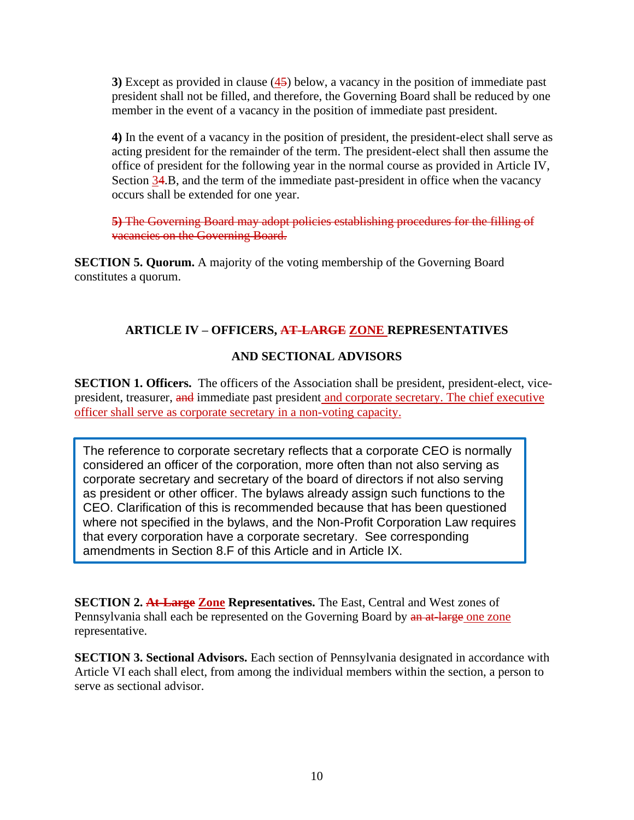**3)** Except as provided in clause (45) below, a vacancy in the position of immediate past president shall not be filled, and therefore, the Governing Board shall be reduced by one member in the event of a vacancy in the position of immediate past president.

**4)** In the event of a vacancy in the position of president, the president-elect shall serve as acting president for the remainder of the term. The president-elect shall then assume the office of president for the following year in the normal course as provided in Article IV, Section 34.B, and the term of the immediate past-president in office when the vacancy occurs shall be extended for one year.

**5)** The Governing Board may adopt policies establishing procedures for the filling of vacancies on the Governing Board.

**SECTION 5. Quorum.** A majority of the voting membership of the Governing Board constitutes a quorum.

## **ARTICLE IV – OFFICERS, AT-LARGE ZONE REPRESENTATIVES**

## **AND SECTIONAL ADVISORS**

**SECTION 1. Officers.** The officers of the Association shall be president, president-elect, vicepresident, treasurer, and immediate past president and corporate secretary. The chief executive officer shall serve as corporate secretary in a non-voting capacity.

The reference to corporate secretary reflects that a corporate CEO is normally considered an officer of the corporation, more often than not also serving as corporate secretary and secretary of the board of directors if not also serving as president or other officer. The bylaws already assign such functions to the CEO. Clarification of this is recommended because that has been questioned where not specified in the bylaws, and the Non-Profit Corporation Law requires that every corporation have a corporate secretary. See corresponding amendments in Section 8.F of this Article and in Article IX.

**SECTION 2. At-Large Zone Representatives.** The East, Central and West zones of Pennsylvania shall each be represented on the Governing Board by an at-large one zone representative.

**SECTION 3. Sectional Advisors.** Each section of Pennsylvania designated in accordance with Article VI each shall elect, from among the individual members within the section, a person to serve as sectional advisor.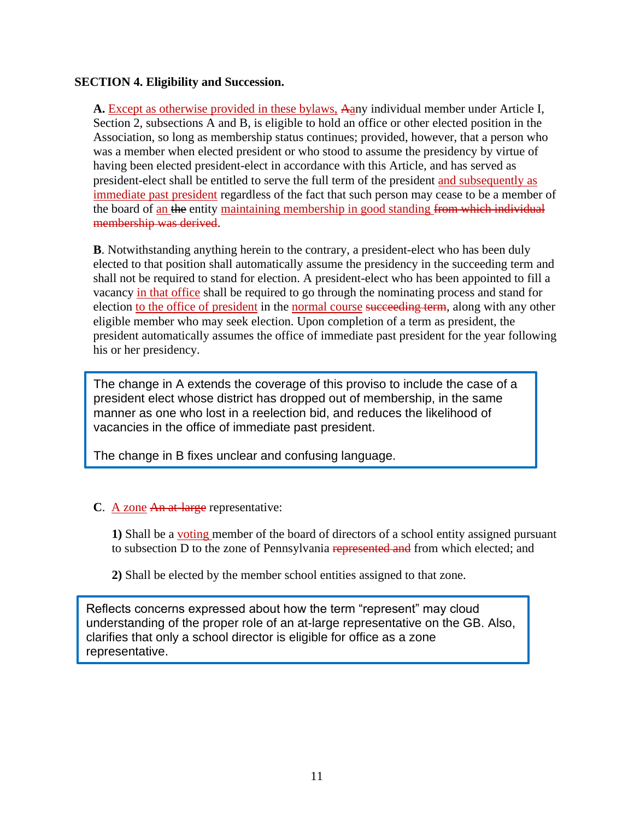## **SECTION 4. Eligibility and Succession.**

**A.** Except as otherwise provided in these bylaws, Aany individual member under Article I, Section 2, subsections A and B, is eligible to hold an office or other elected position in the Association, so long as membership status continues; provided, however, that a person who was a member when elected president or who stood to assume the presidency by virtue of having been elected president-elect in accordance with this Article, and has served as president-elect shall be entitled to serve the full term of the president and subsequently as immediate past president regardless of the fact that such person may cease to be a member of the board of an the entity maintaining membership in good standing from which individual membership was derived.

**B**. Notwithstanding anything herein to the contrary, a president-elect who has been duly elected to that position shall automatically assume the presidency in the succeeding term and shall not be required to stand for election. A president-elect who has been appointed to fill a vacancy in that office shall be required to go through the nominating process and stand for election to the office of president in the normal course succeeding term, along with any other eligible member who may seek election. Upon completion of a term as president, the president automatically assumes the office of immediate past president for the year following his or her presidency.

The change in A extends the coverage of this proviso to include the case of a president elect whose district has dropped out of membership, in the same manner as one who lost in a reelection bid, and reduces the likelihood of vacancies in the office of immediate past president.

The change in B fixes unclear and confusing language.

## **C**. A zone An at-large representative:

**1)** Shall be a voting member of the board of directors of a school entity assigned pursuant to subsection D to the zone of Pennsylvania represented and from which elected; and

**2)** Shall be elected by the member school entities assigned to that zone.

Reflects concerns expressed about how the term "represent" may cloud understanding of the proper role of an at-large representative on the GB. Also, clarifies that only a school director is eligible for office as a zone representative.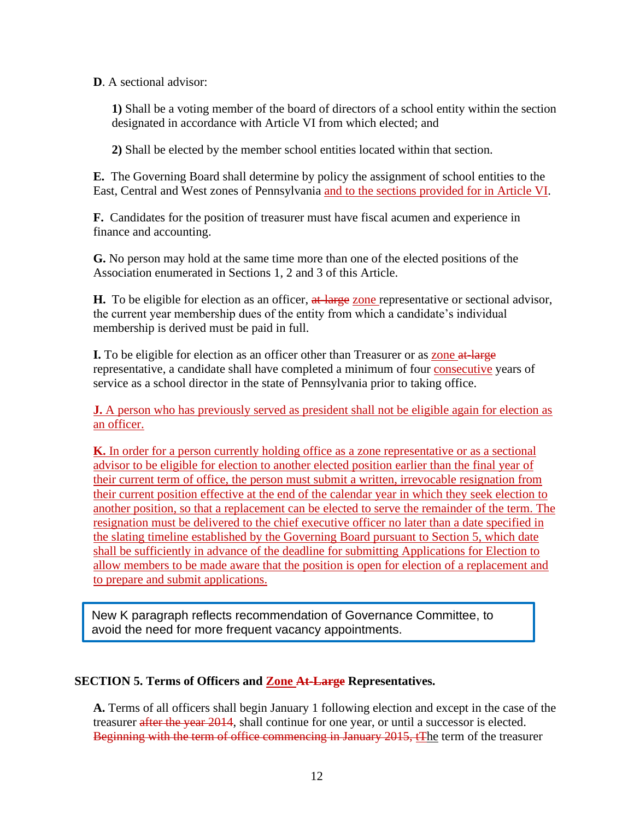**D**. A sectional advisor:

**1)** Shall be a voting member of the board of directors of a school entity within the section designated in accordance with Article VI from which elected; and

**2)** Shall be elected by the member school entities located within that section.

**E.** The Governing Board shall determine by policy the assignment of school entities to the East, Central and West zones of Pennsylvania and to the sections provided for in Article VI.

**F.** Candidates for the position of treasurer must have fiscal acumen and experience in finance and accounting.

**G.** No person may hold at the same time more than one of the elected positions of the Association enumerated in Sections 1, 2 and 3 of this Article.

**H.** To be eligible for election as an officer, at large zone representative or sectional advisor, the current year membership dues of the entity from which a candidate's individual membership is derived must be paid in full.

**I.** To be eligible for election as an officer other than Treasurer or as zone at large representative, a candidate shall have completed a minimum of four consecutive years of service as a school director in the state of Pennsylvania prior to taking office.

**J.** A person who has previously served as president shall not be eligible again for election as an officer.

**K.** In order for a person currently holding office as a zone representative or as a sectional advisor to be eligible for election to another elected position earlier than the final year of their current term of office, the person must submit a written, irrevocable resignation from their current position effective at the end of the calendar year in which they seek election to another position, so that a replacement can be elected to serve the remainder of the term. The resignation must be delivered to the chief executive officer no later than a date specified in the slating timeline established by the Governing Board pursuant to Section 5, which date shall be sufficiently in advance of the deadline for submitting Applications for Election to allow members to be made aware that the position is open for election of a replacement and to prepare and submit applications.

New K paragraph reflects recommendation of Governance Committee, to avoid the need for more frequent vacancy appointments.

## **SECTION 5. Terms of Officers and Zone At-Large Representatives.**

**A.** Terms of all officers shall begin January 1 following election and except in the case of the treasurer after the year 2014, shall continue for one year, or until a successor is elected. Beginning with the term of office commencing in January 2015, tThe term of the treasurer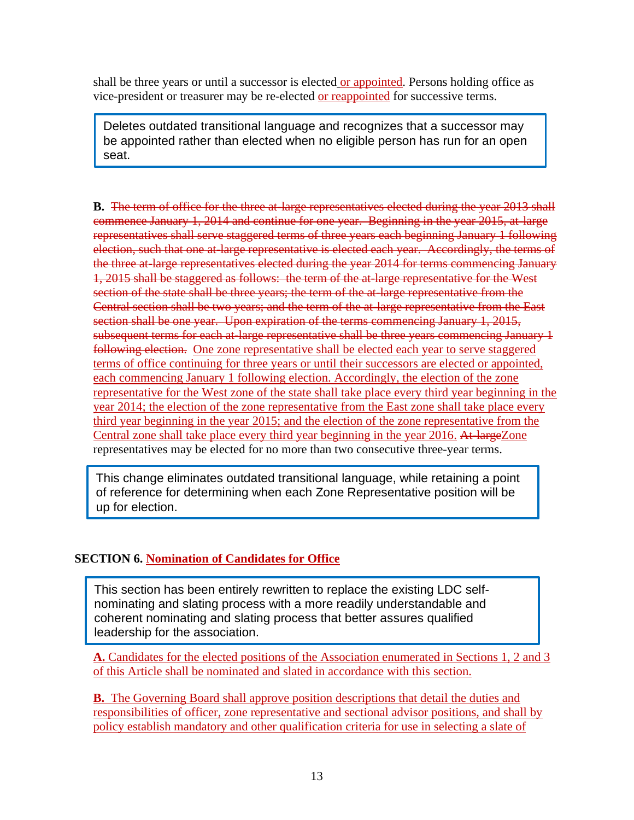shall be three years or until a successor is elected or appointed. Persons holding office as vice-president or treasurer may be re-elected or reappointed for successive terms.

Deletes outdated transitional language and recognizes that a successor may be appointed rather than elected when no eligible person has run for an open seat.

**B.** The term of office for the three at-large representatives elected during the year 2013 shall commence January 1, 2014 and continue for one year. Beginning in the year 2015, at-large representatives shall serve staggered terms of three years each beginning January 1 following election, such that one at-large representative is elected each year. Accordingly, the terms of the three at-large representatives elected during the year 2014 for terms commencing January 1, 2015 shall be staggered as follows: the term of the at-large representative for the West section of the state shall be three years; the term of the at-large representative from the Central section shall be two years; and the term of the at-large representative from the East section shall be one year. Upon expiration of the terms commencing January 1, 2015, subsequent terms for each at-large representative shall be three years commencing January 1 following election. One zone representative shall be elected each year to serve staggered terms of office continuing for three years or until their successors are elected or appointed, each commencing January 1 following election. Accordingly, the election of the zone representative for the West zone of the state shall take place every third year beginning in the year 2014; the election of the zone representative from the East zone shall take place every third year beginning in the year 2015; and the election of the zone representative from the Central zone shall take place every third year beginning in the year 2016. At-largeZone representatives may be elected for no more than two consecutive three-year terms.

This change eliminates outdated transitional language, while retaining a point of reference for determining when each Zone Representative position will be up for election.

## **SECTION 6. Nomination of Candidates for Office**

This section has been entirely rewritten to replace the existing LDC selfnominating and slating process with a more readily understandable and coherent nominating and slating process that better assures qualified leadership for the association.

**A.** Candidates for the elected positions of the Association enumerated in Sections 1, 2 and 3 of this Article shall be nominated and slated in accordance with this section.

**B.** The Governing Board shall approve position descriptions that detail the duties and responsibilities of officer, zone representative and sectional advisor positions, and shall by policy establish mandatory and other qualification criteria for use in selecting a slate of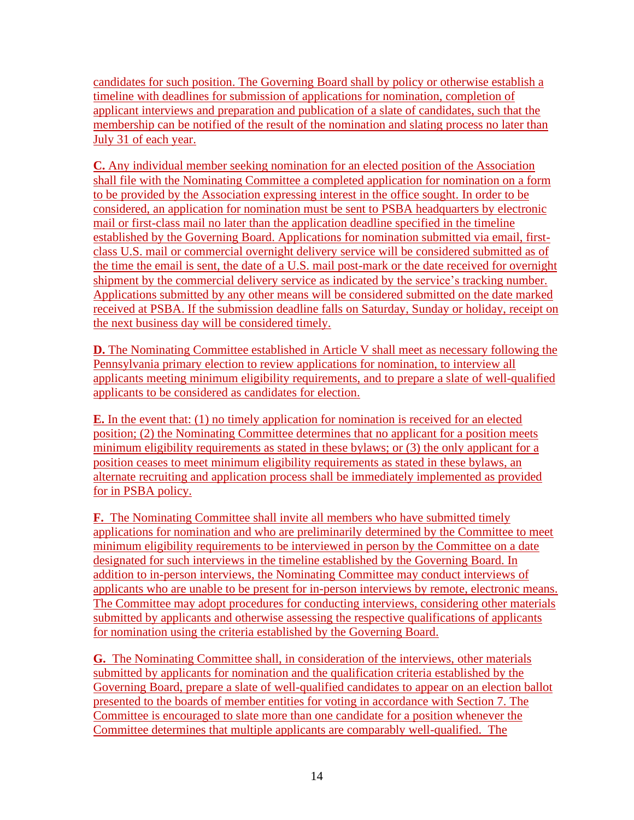candidates for such position. The Governing Board shall by policy or otherwise establish a timeline with deadlines for submission of applications for nomination, completion of applicant interviews and preparation and publication of a slate of candidates, such that the membership can be notified of the result of the nomination and slating process no later than July 31 of each year.

**C.** Any individual member seeking nomination for an elected position of the Association shall file with the Nominating Committee a completed application for nomination on a form to be provided by the Association expressing interest in the office sought. In order to be considered, an application for nomination must be sent to PSBA headquarters by electronic mail or first-class mail no later than the application deadline specified in the timeline established by the Governing Board. Applications for nomination submitted via email, firstclass U.S. mail or commercial overnight delivery service will be considered submitted as of the time the email is sent, the date of a U.S. mail post-mark or the date received for overnight shipment by the commercial delivery service as indicated by the service's tracking number. Applications submitted by any other means will be considered submitted on the date marked received at PSBA. If the submission deadline falls on Saturday, Sunday or holiday, receipt on the next business day will be considered timely.

**D.** The Nominating Committee established in Article V shall meet as necessary following the Pennsylvania primary election to review applications for nomination, to interview all applicants meeting minimum eligibility requirements, and to prepare a slate of well-qualified applicants to be considered as candidates for election.

**E.** In the event that: (1) no timely application for nomination is received for an elected position; (2) the Nominating Committee determines that no applicant for a position meets minimum eligibility requirements as stated in these bylaws; or (3) the only applicant for a position ceases to meet minimum eligibility requirements as stated in these bylaws, an alternate recruiting and application process shall be immediately implemented as provided for in PSBA policy.

**F.** The Nominating Committee shall invite all members who have submitted timely applications for nomination and who are preliminarily determined by the Committee to meet minimum eligibility requirements to be interviewed in person by the Committee on a date designated for such interviews in the timeline established by the Governing Board. In addition to in-person interviews, the Nominating Committee may conduct interviews of applicants who are unable to be present for in-person interviews by remote, electronic means. The Committee may adopt procedures for conducting interviews, considering other materials submitted by applicants and otherwise assessing the respective qualifications of applicants for nomination using the criteria established by the Governing Board.

**G.** The Nominating Committee shall, in consideration of the interviews, other materials submitted by applicants for nomination and the qualification criteria established by the Governing Board, prepare a slate of well-qualified candidates to appear on an election ballot presented to the boards of member entities for voting in accordance with Section 7. The Committee is encouraged to slate more than one candidate for a position whenever the Committee determines that multiple applicants are comparably well-qualified. The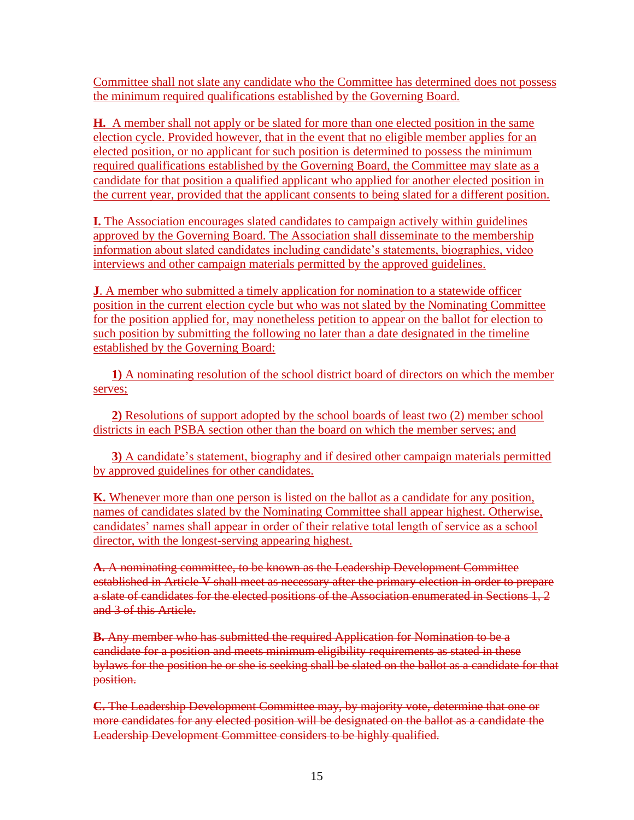Committee shall not slate any candidate who the Committee has determined does not possess the minimum required qualifications established by the Governing Board.

**H.** A member shall not apply or be slated for more than one elected position in the same election cycle. Provided however, that in the event that no eligible member applies for an elected position, or no applicant for such position is determined to possess the minimum required qualifications established by the Governing Board, the Committee may slate as a candidate for that position a qualified applicant who applied for another elected position in the current year, provided that the applicant consents to being slated for a different position.

**I.** The Association encourages slated candidates to campaign actively within guidelines approved by the Governing Board. The Association shall disseminate to the membership information about slated candidates including candidate's statements, biographies, video interviews and other campaign materials permitted by the approved guidelines.

**J**. A member who submitted a timely application for nomination to a statewide officer position in the current election cycle but who was not slated by the Nominating Committee for the position applied for, may nonetheless petition to appear on the ballot for election to such position by submitting the following no later than a date designated in the timeline established by the Governing Board:

**1)** A nominating resolution of the school district board of directors on which the member serves;

**2)** Resolutions of support adopted by the school boards of least two (2) member school districts in each PSBA section other than the board on which the member serves; and

**3)** A candidate's statement, biography and if desired other campaign materials permitted by approved guidelines for other candidates.

**K.** Whenever more than one person is listed on the ballot as a candidate for any position, names of candidates slated by the Nominating Committee shall appear highest. Otherwise, candidates' names shall appear in order of their relative total length of service as a school director, with the longest-serving appearing highest.

**A.** A nominating committee, to be known as the Leadership Development Committee established in Article V shall meet as necessary after the primary election in order to prepare a slate of candidates for the elected positions of the Association enumerated in Sections 1, 2 and 3 of this Article.

**B.** Any member who has submitted the required Application for Nomination to be a candidate for a position and meets minimum eligibility requirements as stated in these bylaws for the position he or she is seeking shall be slated on the ballot as a candidate for that position.

**C.** The Leadership Development Committee may, by majority vote, determine that one or more candidates for any elected position will be designated on the ballot as a candidate the Leadership Development Committee considers to be highly qualified.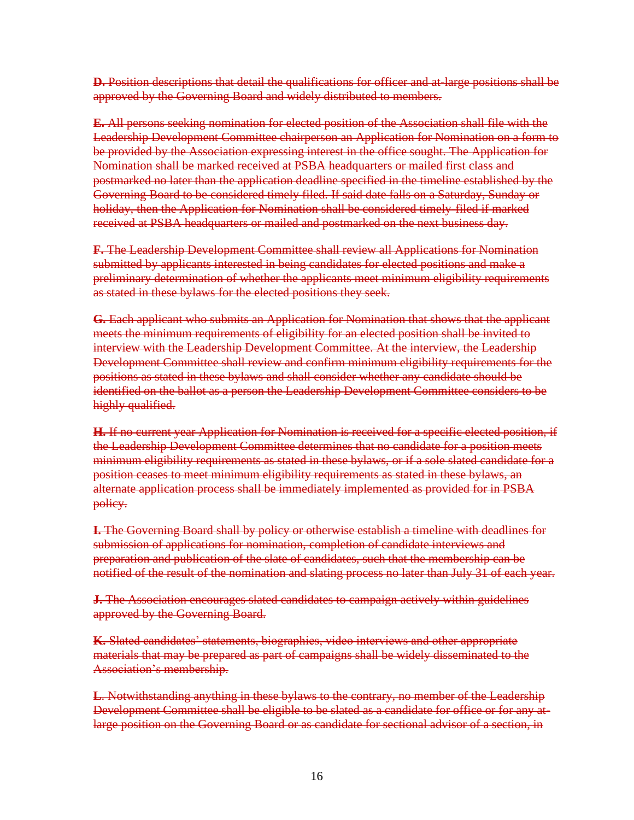**D.** Position descriptions that detail the qualifications for officer and at-large positions shall be approved by the Governing Board and widely distributed to members.

**E.** All persons seeking nomination for elected position of the Association shall file with the Leadership Development Committee chairperson an Application for Nomination on a form to be provided by the Association expressing interest in the office sought. The Application for Nomination shall be marked received at PSBA headquarters or mailed first class and postmarked no later than the application deadline specified in the timeline established by the Governing Board to be considered timely filed. If said date falls on a Saturday, Sunday or holiday, then the Application for Nomination shall be considered timely-filed if marked received at PSBA headquarters or mailed and postmarked on the next business day.

**F.** The Leadership Development Committee shall review all Applications for Nomination submitted by applicants interested in being candidates for elected positions and make a preliminary determination of whether the applicants meet minimum eligibility requirements as stated in these bylaws for the elected positions they seek.

**G.** Each applicant who submits an Application for Nomination that shows that the applicant meets the minimum requirements of eligibility for an elected position shall be invited to interview with the Leadership Development Committee. At the interview, the Leadership Development Committee shall review and confirm minimum eligibility requirements for the positions as stated in these bylaws and shall consider whether any candidate should be identified on the ballot as a person the Leadership Development Committee considers to be highly qualified.

**H.** If no current year Application for Nomination is received for a specific elected position, if the Leadership Development Committee determines that no candidate for a position meets minimum eligibility requirements as stated in these bylaws, or if a sole slated candidate for a position ceases to meet minimum eligibility requirements as stated in these bylaws, an alternate application process shall be immediately implemented as provided for in PSBA policy.

**I.** The Governing Board shall by policy or otherwise establish a timeline with deadlines for submission of applications for nomination, completion of candidate interviews and preparation and publication of the slate of candidates, such that the membership can be notified of the result of the nomination and slating process no later than July 31 of each year.

**J.** The Association encourages slated candidates to campaign actively within guidelines approved by the Governing Board.

**K.** Slated candidates' statements, biographies, video interviews and other appropriate materials that may be prepared as part of campaigns shall be widely disseminated to the Association's membership.

**L**. Notwithstanding anything in these bylaws to the contrary, no member of the Leadership Development Committee shall be eligible to be slated as a candidate for office or for any atlarge position on the Governing Board or as candidate for sectional advisor of a section, in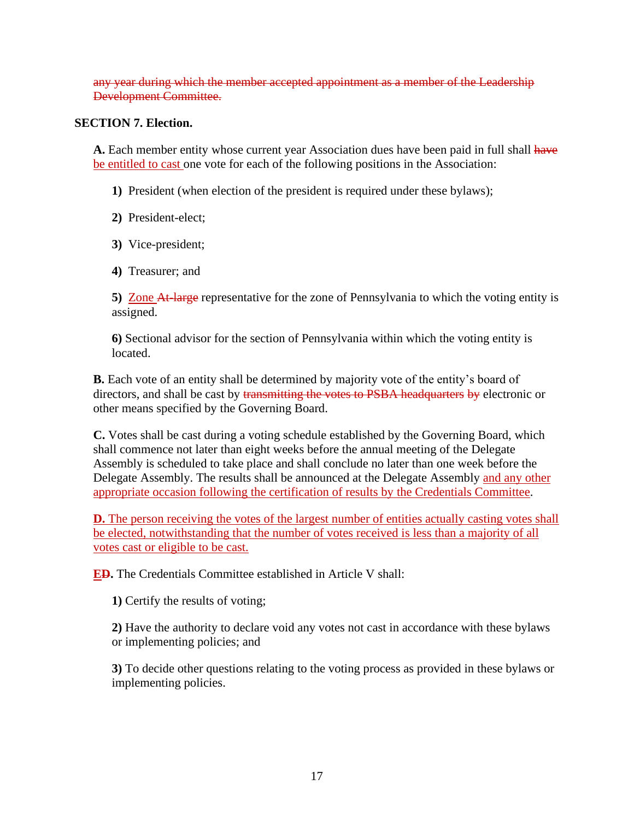any year during which the member accepted appointment as a member of the Leadership Development Committee.

#### **SECTION 7. Election.**

**A.** Each member entity whose current year Association dues have been paid in full shall have be entitled to cast one vote for each of the following positions in the Association:

**1)** President (when election of the president is required under these bylaws);

**2)** President-elect;

- **3)** Vice-president;
- **4)** Treasurer; and

**5)** Zone At-large representative for the zone of Pennsylvania to which the voting entity is assigned.

**6)** Sectional advisor for the section of Pennsylvania within which the voting entity is located.

**B.** Each vote of an entity shall be determined by majority vote of the entity's board of directors, and shall be cast by transmitting the votes to PSBA headquarters by electronic or other means specified by the Governing Board.

**C.** Votes shall be cast during a voting schedule established by the Governing Board, which shall commence not later than eight weeks before the annual meeting of the Delegate Assembly is scheduled to take place and shall conclude no later than one week before the Delegate Assembly. The results shall be announced at the Delegate Assembly and any other appropriate occasion following the certification of results by the Credentials Committee.

**D.** The person receiving the votes of the largest number of entities actually casting votes shall be elected, notwithstanding that the number of votes received is less than a majority of all votes cast or eligible to be cast.

**ED.** The Credentials Committee established in Article V shall:

**1)** Certify the results of voting;

**2)** Have the authority to declare void any votes not cast in accordance with these bylaws or implementing policies; and

**3)** To decide other questions relating to the voting process as provided in these bylaws or implementing policies.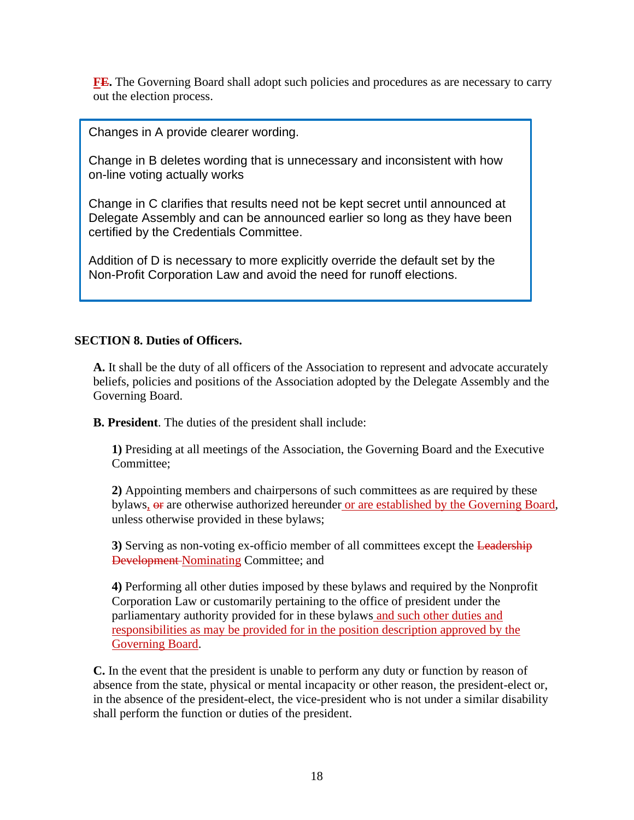**FE.** The Governing Board shall adopt such policies and procedures as are necessary to carry out the election process.

Changes in A provide clearer wording.

Change in B deletes wording that is unnecessary and inconsistent with how on-line voting actually works

Change in C clarifies that results need not be kept secret until announced at Delegate Assembly and can be announced earlier so long as they have been certified by the Credentials Committee.

Addition of D is necessary to more explicitly override the default set by the Non-Profit Corporation Law and avoid the need for runoff elections.

## **SECTION 8. Duties of Officers.**

**A.** It shall be the duty of all officers of the Association to represent and advocate accurately beliefs, policies and positions of the Association adopted by the Delegate Assembly and the Governing Board.

**B. President**. The duties of the president shall include:

**1)** Presiding at all meetings of the Association, the Governing Board and the Executive Committee;

**2)** Appointing members and chairpersons of such committees as are required by these bylaws,  $\theta$  are otherwise authorized hereunder or are established by the Governing Board, unless otherwise provided in these bylaws;

**3**) Serving as non-voting ex-officio member of all committees except the Leadership Development Nominating Committee; and

**4)** Performing all other duties imposed by these bylaws and required by the Nonprofit Corporation Law or customarily pertaining to the office of president under the parliamentary authority provided for in these bylaws and such other duties and responsibilities as may be provided for in the position description approved by the Governing Board.

**C.** In the event that the president is unable to perform any duty or function by reason of absence from the state, physical or mental incapacity or other reason, the president-elect or, in the absence of the president-elect, the vice-president who is not under a similar disability shall perform the function or duties of the president.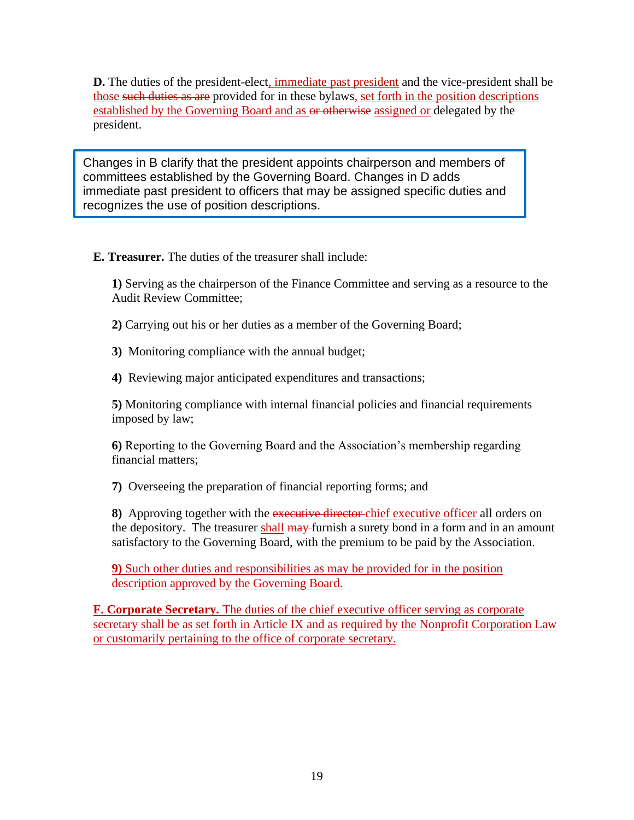**D.** The duties of the president-elect, immediate past president and the vice-president shall be those such duties as are provided for in these bylaws, set forth in the position descriptions established by the Governing Board and as  $\Theta$  or otherwise assigned or delegated by the president.

Changes in B clarify that the president appoints chairperson and members of committees established by the Governing Board. Changes in D adds immediate past president to officers that may be assigned specific duties and recognizes the use of position descriptions.

**E. Treasurer.** The duties of the treasurer shall include:

**1)** Serving as the chairperson of the Finance Committee and serving as a resource to the Audit Review Committee;

**2)** Carrying out his or her duties as a member of the Governing Board;

**3)** Monitoring compliance with the annual budget;

**4)** Reviewing major anticipated expenditures and transactions;

**5)** Monitoring compliance with internal financial policies and financial requirements imposed by law;

**6)** Reporting to the Governing Board and the Association's membership regarding financial matters;

**7)** Overseeing the preparation of financial reporting forms; and

**8)** Approving together with the executive director chief executive officer all orders on the depository. The treasurer shall may furnish a surety bond in a form and in an amount satisfactory to the Governing Board, with the premium to be paid by the Association.

**9)** Such other duties and responsibilities as may be provided for in the position description approved by the Governing Board.

**F. Corporate Secretary.** The duties of the chief executive officer serving as corporate secretary shall be as set forth in Article IX and as required by the Nonprofit Corporation Law or customarily pertaining to the office of corporate secretary.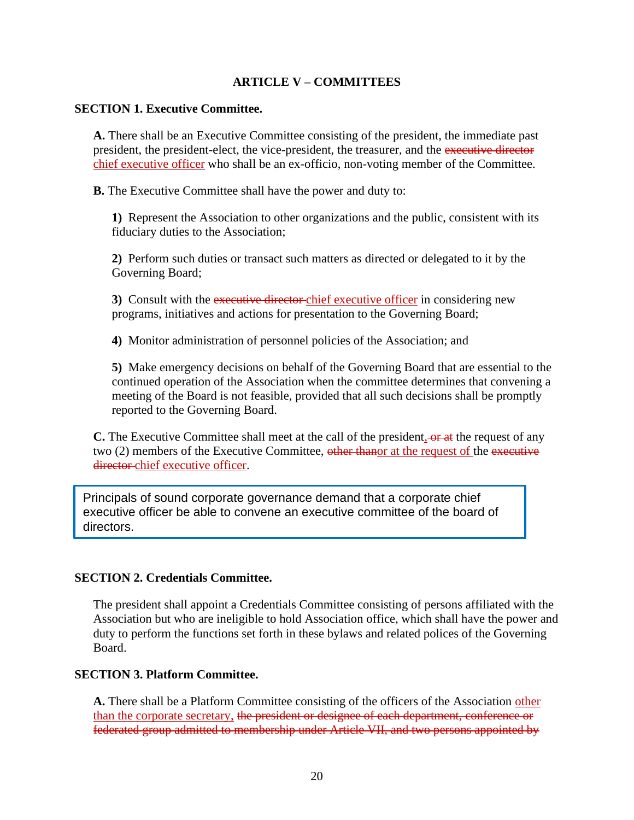#### **ARTICLE V – COMMITTEES**

#### **SECTION 1. Executive Committee.**

**A.** There shall be an Executive Committee consisting of the president, the immediate past president, the president-elect, the vice-president, the treasurer, and the executive director chief executive officer who shall be an ex-officio, non-voting member of the Committee.

**B.** The Executive Committee shall have the power and duty to:

**1)** Represent the Association to other organizations and the public, consistent with its fiduciary duties to the Association;

**2)** Perform such duties or transact such matters as directed or delegated to it by the Governing Board;

**3)** Consult with the executive director chief executive officer in considering new programs, initiatives and actions for presentation to the Governing Board;

**4)** Monitor administration of personnel policies of the Association; and

**5)** Make emergency decisions on behalf of the Governing Board that are essential to the continued operation of the Association when the committee determines that convening a meeting of the Board is not feasible, provided that all such decisions shall be promptly reported to the Governing Board.

**C.** The Executive Committee shall meet at the call of the president, or at the request of any two (2) members of the Executive Committee, other thanor at the request of the executive director-chief executive officer.

Principals of sound corporate governance demand that a corporate chief executive officer be able to convene an executive committee of the board of directors.

#### **SECTION 2. Credentials Committee.**

The president shall appoint a Credentials Committee consisting of persons affiliated with the Association but who are ineligible to hold Association office, which shall have the power and duty to perform the functions set forth in these bylaws and related polices of the Governing Board.

#### **SECTION 3. Platform Committee.**

**A.** There shall be a Platform Committee consisting of the officers of the Association other than the corporate secretary, the president or designee of each department, conference or federated group admitted to membership under Article VII, and two persons appointed by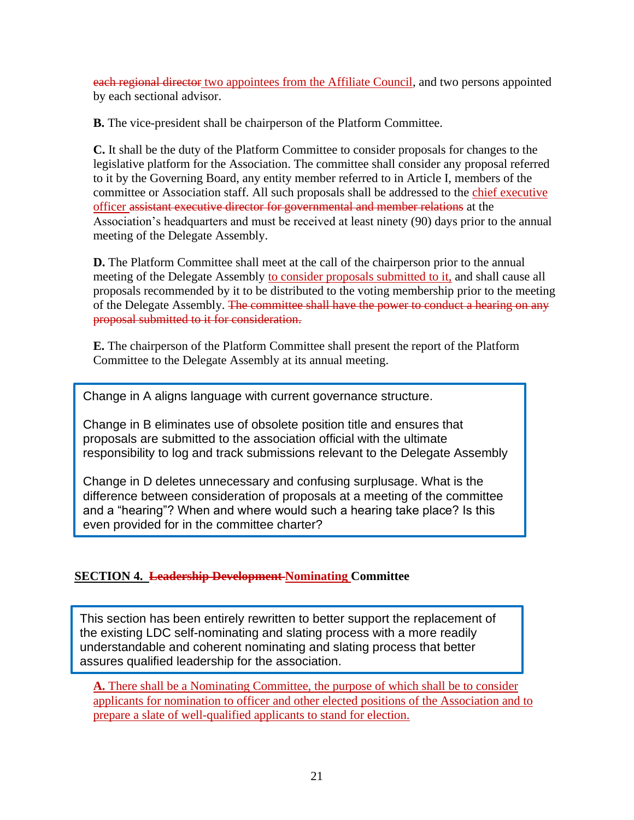each regional director two appointees from the Affiliate Council, and two persons appointed by each sectional advisor.

**B.** The vice-president shall be chairperson of the Platform Committee.

**C.** It shall be the duty of the Platform Committee to consider proposals for changes to the legislative platform for the Association. The committee shall consider any proposal referred to it by the Governing Board, any entity member referred to in Article I, members of the committee or Association staff. All such proposals shall be addressed to the chief executive officer assistant executive director for governmental and member relations at the Association's headquarters and must be received at least ninety (90) days prior to the annual meeting of the Delegate Assembly.

**D.** The Platform Committee shall meet at the call of the chairperson prior to the annual meeting of the Delegate Assembly to consider proposals submitted to it, and shall cause all proposals recommended by it to be distributed to the voting membership prior to the meeting of the Delegate Assembly. The committee shall have the power to conduct a hearing on any proposal submitted to it for consideration.

**E.** The chairperson of the Platform Committee shall present the report of the Platform Committee to the Delegate Assembly at its annual meeting.

Change in A aligns language with current governance structure.

Change in B eliminates use of obsolete position title and ensures that proposals are submitted to the association official with the ultimate responsibility to log and track submissions relevant to the Delegate Assembly

Change in D deletes unnecessary and confusing surplusage. What is the difference between consideration of proposals at a meeting of the committee and a "hearing"? When and where would such a hearing take place? Is this even provided for in the committee charter?

## **SECTION 4. Leadership Development Nominating Committee**

This section has been entirely rewritten to better support the replacement of the existing LDC self-nominating and slating process with a more readily understandable and coherent nominating and slating process that better assures qualified leadership for the association.

**A.** There shall be a Nominating Committee, the purpose of which shall be to consider applicants for nomination to officer and other elected positions of the Association and to prepare a slate of well-qualified applicants to stand for election.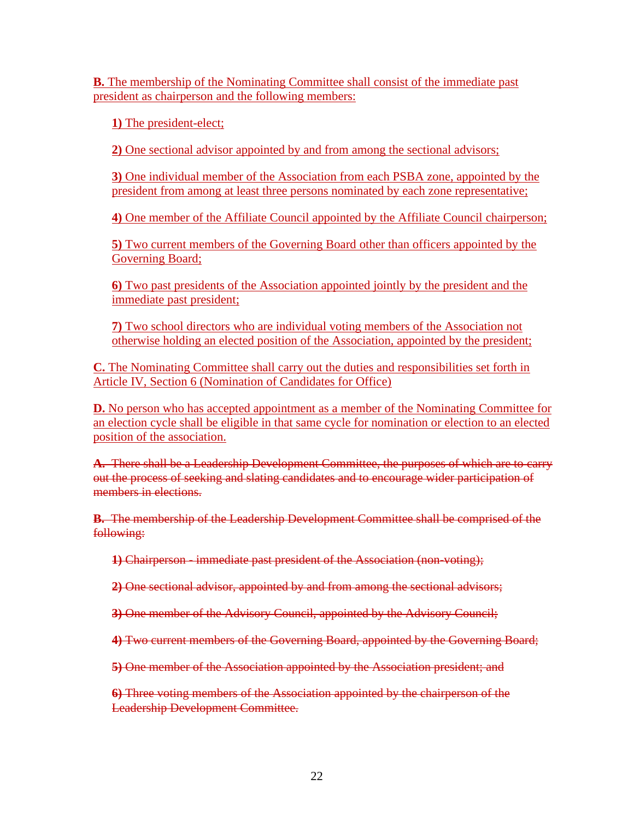**B.** The membership of the Nominating Committee shall consist of the immediate past president as chairperson and the following members:

**1)** The president-elect;

**2)** One sectional advisor appointed by and from among the sectional advisors;

**3)** One individual member of the Association from each PSBA zone, appointed by the president from among at least three persons nominated by each zone representative;

**4)** One member of the Affiliate Council appointed by the Affiliate Council chairperson;

**5)** Two current members of the Governing Board other than officers appointed by the Governing Board;

**6)** Two past presidents of the Association appointed jointly by the president and the immediate past president;

**7)** Two school directors who are individual voting members of the Association not otherwise holding an elected position of the Association, appointed by the president;

**C.** The Nominating Committee shall carry out the duties and responsibilities set forth in Article IV, Section 6 (Nomination of Candidates for Office)

**D.** No person who has accepted appointment as a member of the Nominating Committee for an election cycle shall be eligible in that same cycle for nomination or election to an elected position of the association.

**A.** There shall be a Leadership Development Committee, the purposes of which are to carry out the process of seeking and slating candidates and to encourage wider participation of members in elections.

**B.** The membership of the Leadership Development Committee shall be comprised of the following:

**1)** Chairperson - immediate past president of the Association (non-voting);

**2)** One sectional advisor, appointed by and from among the sectional advisors;

**3)** One member of the Advisory Council, appointed by the Advisory Council;

**4)** Two current members of the Governing Board, appointed by the Governing Board;

**5)** One member of the Association appointed by the Association president; and

**6)** Three voting members of the Association appointed by the chairperson of the Leadership Development Committee.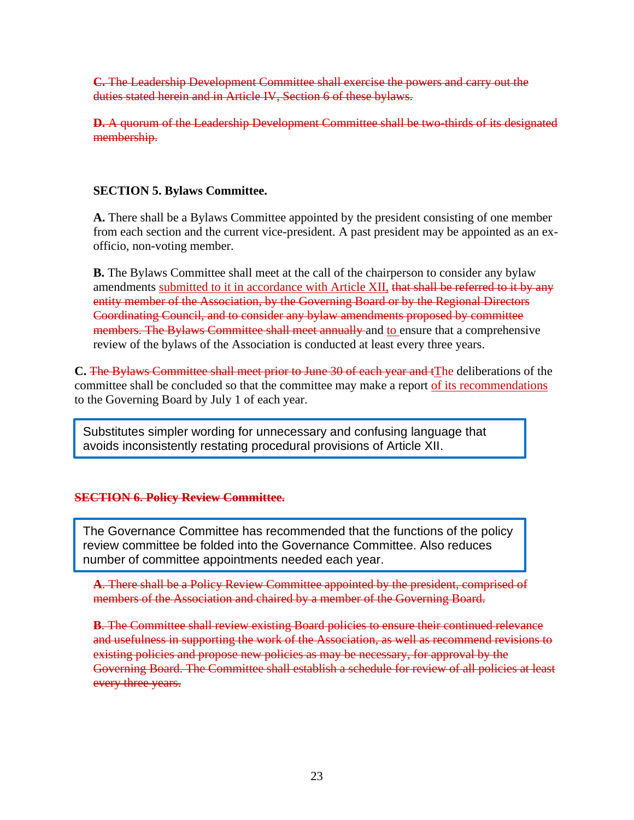**C.** The Leadership Development Committee shall exercise the powers and carry out the duties stated herein and in Article IV, Section 6 of these bylaws.

**D.** A quorum of the Leadership Development Committee shall be two-thirds of its designated membership.

## **SECTION 5. Bylaws Committee.**

**A.** There shall be a Bylaws Committee appointed by the president consisting of one member from each section and the current vice-president. A past president may be appointed as an exofficio, non-voting member.

**B.** The Bylaws Committee shall meet at the call of the chairperson to consider any bylaw amendments submitted to it in accordance with Article XII, that shall be referred to it by any entity member of the Association, by the Governing Board or by the Regional Directors Coordinating Council, and to consider any bylaw amendments proposed by committee members. The Bylaws Committee shall meet annually and to ensure that a comprehensive review of the bylaws of the Association is conducted at least every three years.

**C.** The Bylaws Committee shall meet prior to June 30 of each year and tThe deliberations of the committee shall be concluded so that the committee may make a report of its recommendations to the Governing Board by July 1 of each year.

Substitutes simpler wording for unnecessary and confusing language that avoids inconsistently restating procedural provisions of Article XII.

## **SECTION 6. Policy Review Committee.**

The Governance Committee has recommended that the functions of the policy review committee be folded into the Governance Committee. Also reduces number of committee appointments needed each year.

**A**. There shall be a Policy Review Committee appointed by the president, comprised of members of the Association and chaired by a member of the Governing Board.

**B.** The Committee shall review existing Board policies to ensure their continued relevance and usefulness in supporting the work of the Association, as well as recommend revisions to existing policies and propose new policies as may be necessary, for approval by the Governing Board. The Committee shall establish a schedule for review of all policies at least every three years.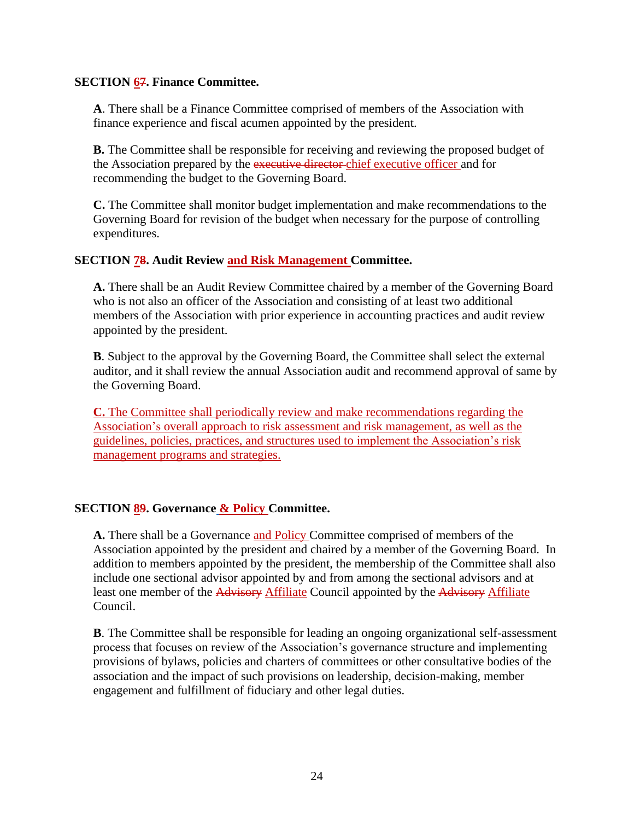#### **SECTION 67. Finance Committee.**

**A**. There shall be a Finance Committee comprised of members of the Association with finance experience and fiscal acumen appointed by the president.

**B.** The Committee shall be responsible for receiving and reviewing the proposed budget of the Association prepared by the executive director-chief executive officer and for recommending the budget to the Governing Board.

**C.** The Committee shall monitor budget implementation and make recommendations to the Governing Board for revision of the budget when necessary for the purpose of controlling expenditures.

#### **SECTION 78. Audit Review and Risk Management Committee.**

**A.** There shall be an Audit Review Committee chaired by a member of the Governing Board who is not also an officer of the Association and consisting of at least two additional members of the Association with prior experience in accounting practices and audit review appointed by the president.

**B**. Subject to the approval by the Governing Board, the Committee shall select the external auditor, and it shall review the annual Association audit and recommend approval of same by the Governing Board.

**C.** The Committee shall periodically review and make recommendations regarding the Association's overall approach to risk assessment and risk management, as well as the guidelines, policies, practices, and structures used to implement the Association's risk management programs and strategies.

## **SECTION 89. Governance & Policy Committee.**

**A.** There shall be a Governance and Policy Committee comprised of members of the Association appointed by the president and chaired by a member of the Governing Board. In addition to members appointed by the president, the membership of the Committee shall also include one sectional advisor appointed by and from among the sectional advisors and at least one member of the Advisory Affiliate Council appointed by the Advisory Affiliate Council.

**B**. The Committee shall be responsible for leading an ongoing organizational self-assessment process that focuses on review of the Association's governance structure and implementing provisions of bylaws, policies and charters of committees or other consultative bodies of the association and the impact of such provisions on leadership, decision-making, member engagement and fulfillment of fiduciary and other legal duties.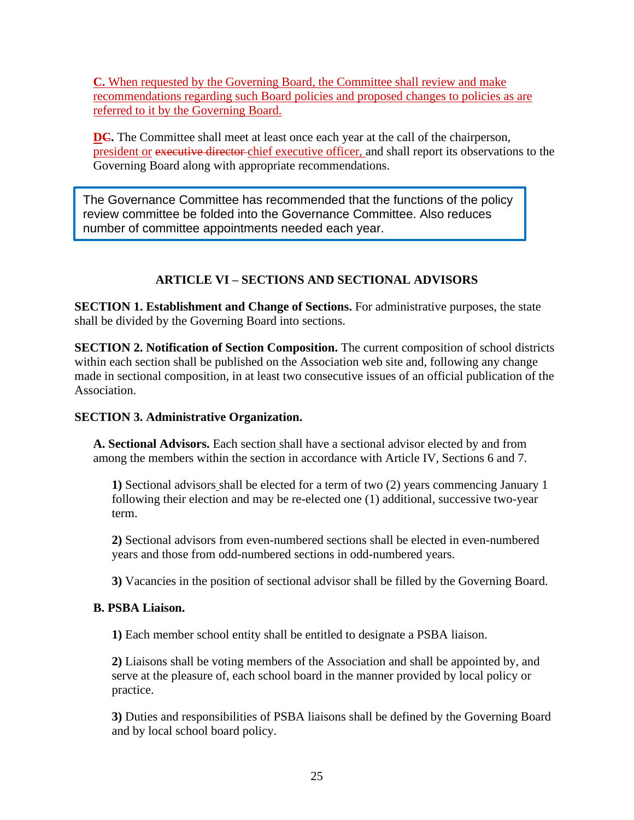**C.** When requested by the Governing Board, the Committee shall review and make recommendations regarding such Board policies and proposed changes to policies as are referred to it by the Governing Board.

**DC.** The Committee shall meet at least once each year at the call of the chairperson, president or executive director chief executive officer, and shall report its observations to the Governing Board along with appropriate recommendations.

The Governance Committee has recommended that the functions of the policy review committee be folded into the Governance Committee. Also reduces number of committee appointments needed each year.

## **ARTICLE VI – SECTIONS AND SECTIONAL ADVISORS**

**SECTION 1. Establishment and Change of Sections.** For administrative purposes, the state shall be divided by the Governing Board into sections.

**SECTION 2. Notification of Section Composition.** The current composition of school districts within each section shall be published on the Association web site and, following any change made in sectional composition, in at least two consecutive issues of an official publication of the Association.

## **SECTION 3. Administrative Organization.**

**A. Sectional Advisors.** Each section shall have a sectional advisor elected by and from among the members within the section in accordance with Article IV, Sections 6 and 7.

**1)** Sectional advisors shall be elected for a term of two (2) years commencing January 1 following their election and may be re-elected one (1) additional, successive two-year term.

**2)** Sectional advisors from even-numbered sections shall be elected in even-numbered years and those from odd-numbered sections in odd-numbered years.

**3)** Vacancies in the position of sectional advisor shall be filled by the Governing Board.

## **B. PSBA Liaison.**

**1)** Each member school entity shall be entitled to designate a PSBA liaison.

**2)** Liaisons shall be voting members of the Association and shall be appointed by, and serve at the pleasure of, each school board in the manner provided by local policy or practice.

**3)** Duties and responsibilities of PSBA liaisons shall be defined by the Governing Board and by local school board policy.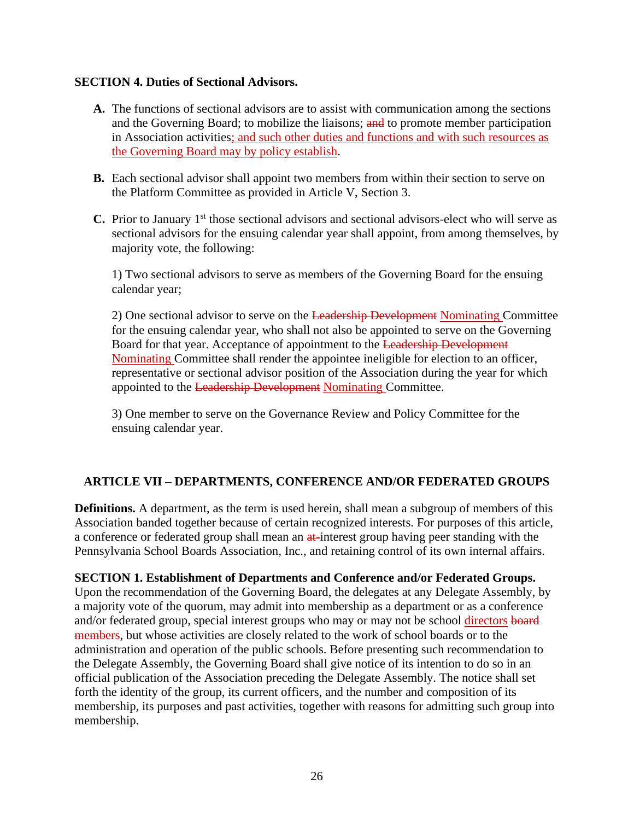#### **SECTION 4. Duties of Sectional Advisors.**

- **A.** The functions of sectional advisors are to assist with communication among the sections and the Governing Board; to mobilize the liaisons; and to promote member participation in Association activities; and such other duties and functions and with such resources as the Governing Board may by policy establish.
- **B.** Each sectional advisor shall appoint two members from within their section to serve on the Platform Committee as provided in Article V, Section 3.
- **C.** Prior to January 1<sup>st</sup> those sectional advisors and sectional advisors-elect who will serve as sectional advisors for the ensuing calendar year shall appoint, from among themselves, by majority vote, the following:

1) Two sectional advisors to serve as members of the Governing Board for the ensuing calendar year;

2) One sectional advisor to serve on the Leadership Development Nominating Committee for the ensuing calendar year, who shall not also be appointed to serve on the Governing Board for that year. Acceptance of appointment to the Leadership Development Nominating Committee shall render the appointee ineligible for election to an officer, representative or sectional advisor position of the Association during the year for which appointed to the Leadership Development Nominating Committee.

3) One member to serve on the Governance Review and Policy Committee for the ensuing calendar year.

## **ARTICLE VII – DEPARTMENTS, CONFERENCE AND/OR FEDERATED GROUPS**

**Definitions.** A department, as the term is used herein, shall mean a subgroup of members of this Association banded together because of certain recognized interests. For purposes of this article, a conference or federated group shall mean an at-interest group having peer standing with the Pennsylvania School Boards Association, Inc., and retaining control of its own internal affairs.

#### **SECTION 1. Establishment of Departments and Conference and/or Federated Groups.**

Upon the recommendation of the Governing Board, the delegates at any Delegate Assembly, by a majority vote of the quorum, may admit into membership as a department or as a conference and/or federated group, special interest groups who may or may not be school directors board members, but whose activities are closely related to the work of school boards or to the administration and operation of the public schools. Before presenting such recommendation to the Delegate Assembly, the Governing Board shall give notice of its intention to do so in an official publication of the Association preceding the Delegate Assembly. The notice shall set forth the identity of the group, its current officers, and the number and composition of its membership, its purposes and past activities, together with reasons for admitting such group into membership.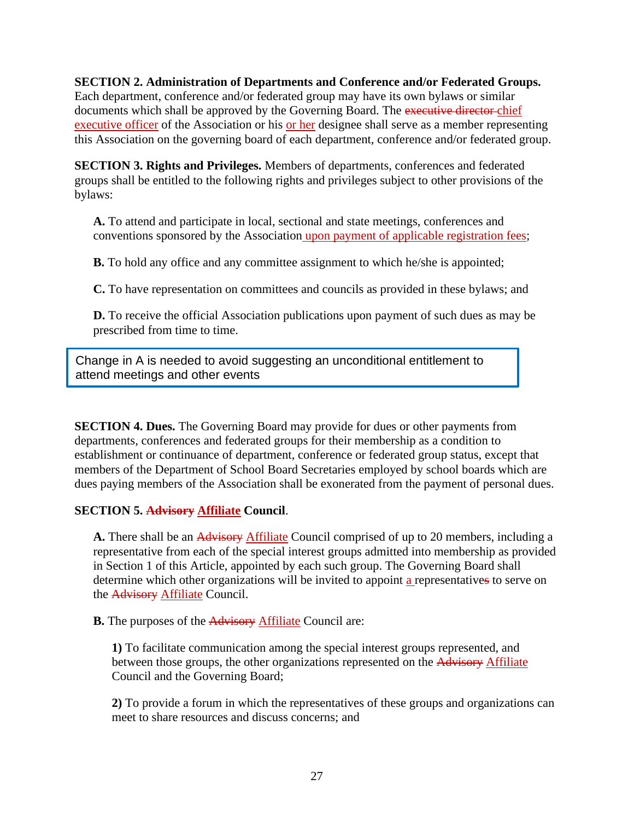**SECTION 2. Administration of Departments and Conference and/or Federated Groups.** Each department, conference and/or federated group may have its own bylaws or similar documents which shall be approved by the Governing Board. The executive director-chief executive officer of the Association or his or her designee shall serve as a member representing this Association on the governing board of each department, conference and/or federated group.

**SECTION 3. Rights and Privileges.** Members of departments, conferences and federated groups shall be entitled to the following rights and privileges subject to other provisions of the bylaws:

**A.** To attend and participate in local, sectional and state meetings, conferences and conventions sponsored by the Association upon payment of applicable registration fees;

**B.** To hold any office and any committee assignment to which he/she is appointed;

**C.** To have representation on committees and councils as provided in these bylaws; and

**D.** To receive the official Association publications upon payment of such dues as may be prescribed from time to time.

Change in A is needed to avoid suggesting an unconditional entitlement to attend meetings and other events

**SECTION 4. Dues.** The Governing Board may provide for dues or other payments from departments, conferences and federated groups for their membership as a condition to establishment or continuance of department, conference or federated group status, except that members of the Department of School Board Secretaries employed by school boards which are dues paying members of the Association shall be exonerated from the payment of personal dues.

## **SECTION 5. Advisory Affiliate Council**.

**A.** There shall be an Advisory Affiliate Council comprised of up to 20 members, including a representative from each of the special interest groups admitted into membership as provided in Section 1 of this Article, appointed by each such group. The Governing Board shall determine which other organizations will be invited to appoint a representatives to serve on the Advisory Affiliate Council.

**B.** The purposes of the Advisory Affiliate Council are:

**1)** To facilitate communication among the special interest groups represented, and between those groups, the other organizations represented on the Advisory Affiliate Council and the Governing Board;

**2)** To provide a forum in which the representatives of these groups and organizations can meet to share resources and discuss concerns; and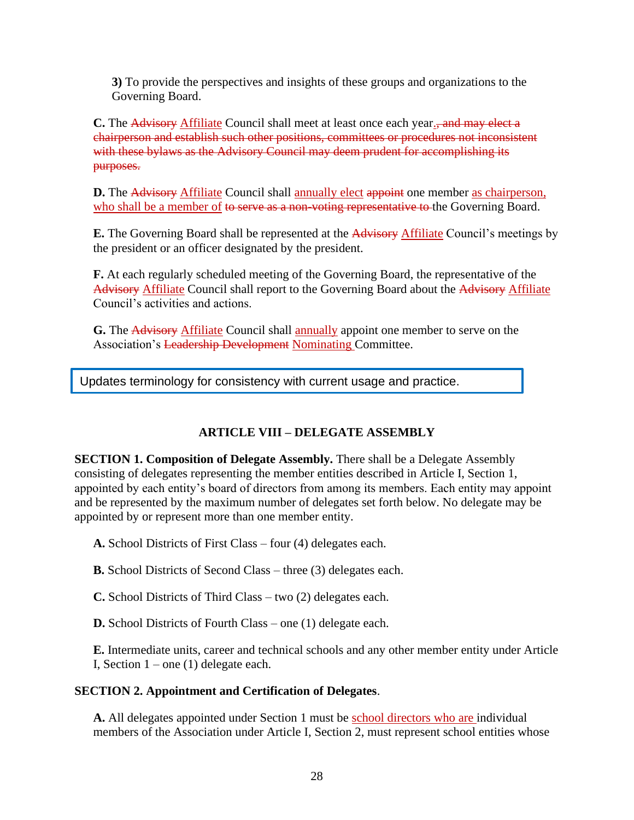**3)** To provide the perspectives and insights of these groups and organizations to the Governing Board.

**C.** The Advisory Affiliate Council shall meet at least once each year., and may elect a chairperson and establish such other positions, committees or procedures not inconsistent with these bylaws as the Advisory Council may deem prudent for accomplishing its purposes.

**D.** The Advisory Affiliate Council shall annually elect appoint one member as chairperson, who shall be a member of to serve as a non-voting representative to the Governing Board.

**E.** The Governing Board shall be represented at the Advisory Affiliate Council's meetings by the president or an officer designated by the president.

**F.** At each regularly scheduled meeting of the Governing Board, the representative of the Advisory Affiliate Council shall report to the Governing Board about the Advisory Affiliate Council's activities and actions.

**G.** The Advisory Affiliate Council shall annually appoint one member to serve on the Association's Leadership Development Nominating Committee.

Updates terminology for consistency with current usage and practice.

## **ARTICLE VIII – DELEGATE ASSEMBLY**

**SECTION 1. Composition of Delegate Assembly.** There shall be a Delegate Assembly consisting of delegates representing the member entities described in Article I, Section 1, appointed by each entity's board of directors from among its members. Each entity may appoint and be represented by the maximum number of delegates set forth below. No delegate may be appointed by or represent more than one member entity.

**A.** School Districts of First Class – four (4) delegates each.

**B.** School Districts of Second Class – three (3) delegates each.

**C.** School Districts of Third Class – two (2) delegates each.

**D.** School Districts of Fourth Class – one (1) delegate each.

**E.** Intermediate units, career and technical schools and any other member entity under Article I, Section  $1$  – one (1) delegate each.

## **SECTION 2. Appointment and Certification of Delegates**.

**A.** All delegates appointed under Section 1 must be school directors who are individual members of the Association under Article I, Section 2, must represent school entities whose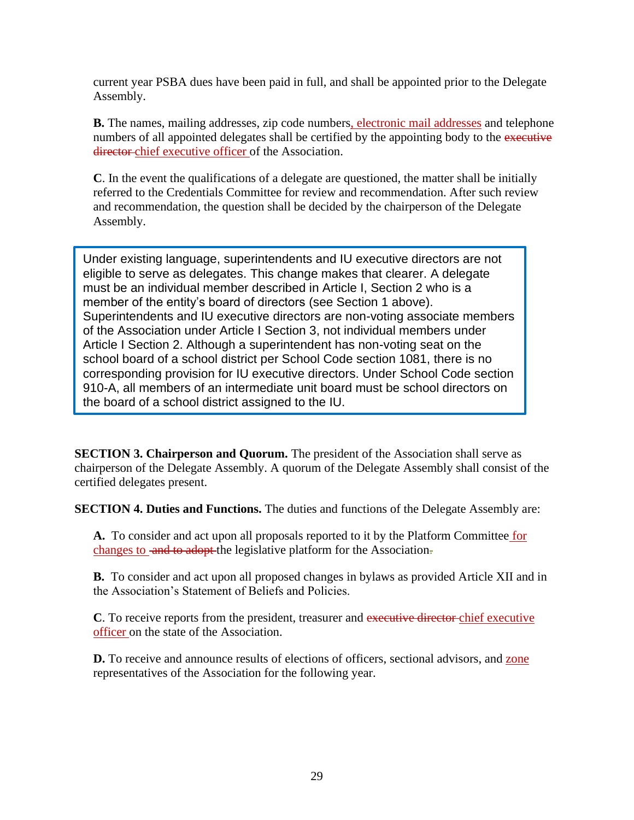current year PSBA dues have been paid in full, and shall be appointed prior to the Delegate Assembly.

**B.** The names, mailing addresses, zip code numbers, electronic mail addresses and telephone numbers of all appointed delegates shall be certified by the appointing body to the executive director chief executive officer of the Association.

**C**. In the event the qualifications of a delegate are questioned, the matter shall be initially referred to the Credentials Committee for review and recommendation. After such review and recommendation, the question shall be decided by the chairperson of the Delegate Assembly.

Under existing language, superintendents and IU executive directors are not eligible to serve as delegates. This change makes that clearer. A delegate must be an individual member described in Article I, Section 2 who is a member of the entity's board of directors (see Section 1 above). Superintendents and IU executive directors are non-voting associate members of the Association under Article I Section 3, not individual members under Article I Section 2. Although a superintendent has non-voting seat on the school board of a school district per School Code section 1081, there is no corresponding provision for IU executive directors. Under School Code section 910-A, all members of an intermediate unit board must be school directors on the board of a school district assigned to the IU.

**SECTION 3. Chairperson and Quorum.** The president of the Association shall serve as chairperson of the Delegate Assembly. A quorum of the Delegate Assembly shall consist of the certified delegates present.

**SECTION 4. Duties and Functions.** The duties and functions of the Delegate Assembly are:

**A.** To consider and act upon all proposals reported to it by the Platform Committee for changes to and to adopt the legislative platform for the Association.

**B.** To consider and act upon all proposed changes in bylaws as provided Article XII and in the Association's Statement of Beliefs and Policies.

**C**. To receive reports from the president, treasurer and executive director chief executive officer on the state of the Association.

**D.** To receive and announce results of elections of officers, sectional advisors, and zone representatives of the Association for the following year.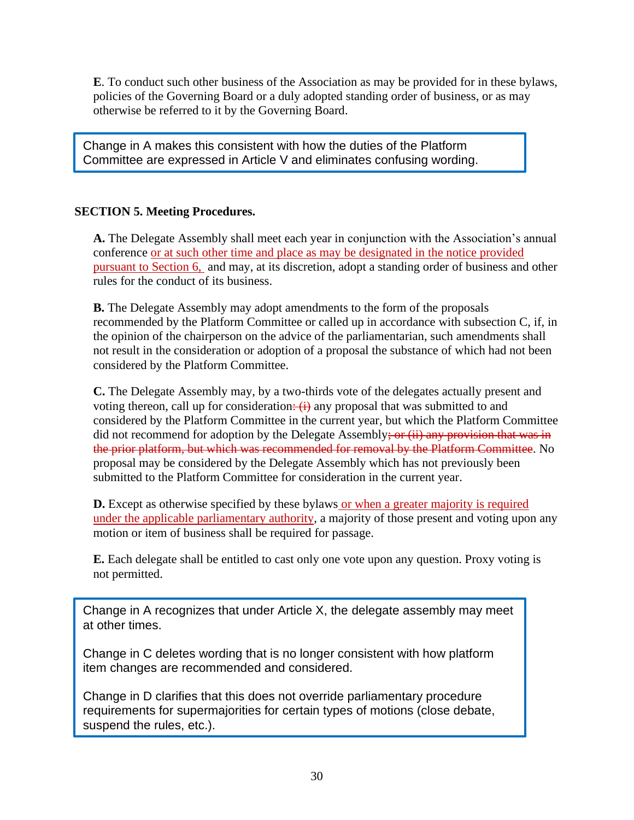**E**. To conduct such other business of the Association as may be provided for in these bylaws, policies of the Governing Board or a duly adopted standing order of business, or as may otherwise be referred to it by the Governing Board.

Change in A makes this consistent with how the duties of the Platform Committee are expressed in Article V and eliminates confusing wording.

## **SECTION 5. Meeting Procedures.**

**A.** The Delegate Assembly shall meet each year in conjunction with the Association's annual conference or at such other time and place as may be designated in the notice provided pursuant to Section 6, and may, at its discretion, adopt a standing order of business and other rules for the conduct of its business.

**B.** The Delegate Assembly may adopt amendments to the form of the proposals recommended by the Platform Committee or called up in accordance with subsection C, if, in the opinion of the chairperson on the advice of the parliamentarian, such amendments shall not result in the consideration or adoption of a proposal the substance of which had not been considered by the Platform Committee.

**C.** The Delegate Assembly may, by a two-thirds vote of the delegates actually present and voting thereon, call up for consideration:  $(i)$  any proposal that was submitted to and considered by the Platform Committee in the current year, but which the Platform Committee did not recommend for adoption by the Delegate Assembly; or  $(ii)$  any provision that was in the prior platform, but which was recommended for removal by the Platform Committee. No proposal may be considered by the Delegate Assembly which has not previously been submitted to the Platform Committee for consideration in the current year.

**D.** Except as otherwise specified by these bylaws or when a greater majority is required under the applicable parliamentary authority, a majority of those present and voting upon any motion or item of business shall be required for passage.

**E.** Each delegate shall be entitled to cast only one vote upon any question. Proxy voting is not permitted.

Change in A recognizes that under Article X, the delegate assembly may meet at other times.

Change in C deletes wording that is no longer consistent with how platform item changes are recommended and considered.

Change in D clarifies that this does not override parliamentary procedure requirements for supermajorities for certain types of motions (close debate, suspend the rules, etc.).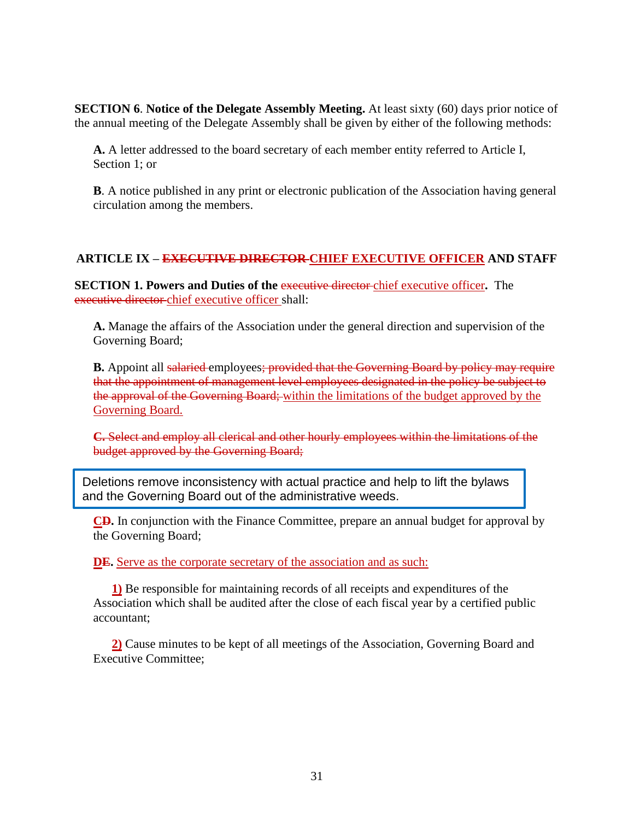**SECTION 6. Notice of the Delegate Assembly Meeting.** At least sixty (60) days prior notice of the annual meeting of the Delegate Assembly shall be given by either of the following methods:

**A.** A letter addressed to the board secretary of each member entity referred to Article I, Section 1; or

**B**. A notice published in any print or electronic publication of the Association having general circulation among the members.

## **ARTICLE IX – EXECUTIVE DIRECTOR CHIEF EXECUTIVE OFFICER AND STAFF**

**SECTION 1. Powers and Duties of the executive director**-chief executive officer. The executive director chief executive officer shall:

**A.** Manage the affairs of the Association under the general direction and supervision of the Governing Board;

**B.** Appoint all salaried employees; provided that the Governing Board by policy may require that the appointment of management level employees designated in the policy be subject to the approval of the Governing Board; within the limitations of the budget approved by the Governing Board.

**C.** Select and employ all clerical and other hourly employees within the limitations of the budget approved by the Governing Board;

Deletions remove inconsistency with actual practice and help to lift the bylaws and the Governing Board out of the administrative weeds.

**CD.** In conjunction with the Finance Committee, prepare an annual budget for approval by the Governing Board;

**DE.** Serve as the corporate secretary of the association and as such:

**1)** Be responsible for maintaining records of all receipts and expenditures of the Association which shall be audited after the close of each fiscal year by a certified public accountant;

**2)** Cause minutes to be kept of all meetings of the Association, Governing Board and Executive Committee;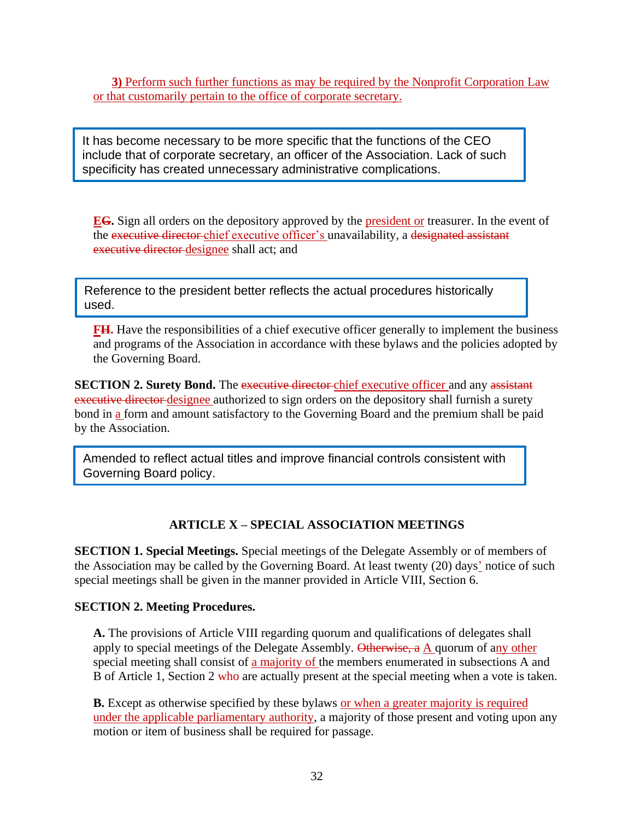**3)** Perform such further functions as may be required by the Nonprofit Corporation Law or that customarily pertain to the office of corporate secretary.

It has become necessary to be more specific that the functions of the CEO include that of corporate secretary, an officer of the Association. Lack of such specificity has created unnecessary administrative complications.

**EG.** Sign all orders on the depository approved by the president or treasurer. In the event of the executive director chief executive officer's unavailability, a designated assistant executive director designee shall act; and

Reference to the president better reflects the actual procedures historically used.

**FH.** Have the responsibilities of a chief executive officer generally to implement the business and programs of the Association in accordance with these bylaws and the policies adopted by the Governing Board.

**SECTION 2. Surety Bond.** The executive director chief executive officer and any assistant executive director designee authorized to sign orders on the depository shall furnish a surety bond in a form and amount satisfactory to the Governing Board and the premium shall be paid by the Association.

Amended to reflect actual titles and improve financial controls consistent with Governing Board policy.

## **ARTICLE X – SPECIAL ASSOCIATION MEETINGS**

**SECTION 1. Special Meetings.** Special meetings of the Delegate Assembly or of members of the Association may be called by the Governing Board. At least twenty (20) days' notice of such special meetings shall be given in the manner provided in Article VIII, Section 6.

#### **SECTION 2. Meeting Procedures.**

**A.** The provisions of Article VIII regarding quorum and qualifications of delegates shall apply to special meetings of the Delegate Assembly. Otherwise, a A quorum of any other special meeting shall consist of a majority of the members enumerated in subsections A and B of Article 1, Section 2 who are actually present at the special meeting when a vote is taken.

**B.** Except as otherwise specified by these bylaws or when a greater majority is required under the applicable parliamentary authority, a majority of those present and voting upon any motion or item of business shall be required for passage.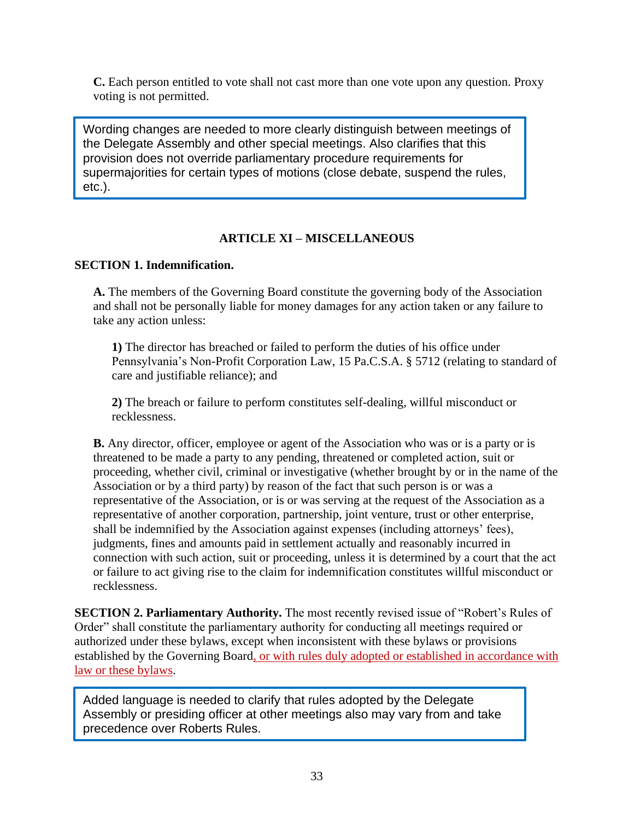**C.** Each person entitled to vote shall not cast more than one vote upon any question. Proxy voting is not permitted.

Wording changes are needed to more clearly distinguish between meetings of the Delegate Assembly and other special meetings. Also clarifies that this provision does not override parliamentary procedure requirements for supermajorities for certain types of motions (close debate, suspend the rules, etc.).

## **ARTICLE XI – MISCELLANEOUS**

## **SECTION 1. Indemnification.**

**A.** The members of the Governing Board constitute the governing body of the Association and shall not be personally liable for money damages for any action taken or any failure to take any action unless:

**1)** The director has breached or failed to perform the duties of his office under Pennsylvania's Non-Profit Corporation Law, 15 Pa.C.S.A. § 5712 (relating to standard of care and justifiable reliance); and

**2)** The breach or failure to perform constitutes self-dealing, willful misconduct or recklessness.

**B.** Any director, officer, employee or agent of the Association who was or is a party or is threatened to be made a party to any pending, threatened or completed action, suit or proceeding, whether civil, criminal or investigative (whether brought by or in the name of the Association or by a third party) by reason of the fact that such person is or was a representative of the Association, or is or was serving at the request of the Association as a representative of another corporation, partnership, joint venture, trust or other enterprise, shall be indemnified by the Association against expenses (including attorneys' fees), judgments, fines and amounts paid in settlement actually and reasonably incurred in connection with such action, suit or proceeding, unless it is determined by a court that the act or failure to act giving rise to the claim for indemnification constitutes willful misconduct or recklessness.

**SECTION 2. Parliamentary Authority.** The most recently revised issue of "Robert's Rules of Order" shall constitute the parliamentary authority for conducting all meetings required or authorized under these bylaws, except when inconsistent with these bylaws or provisions established by the Governing Board, or with rules duly adopted or established in accordance with law or these bylaws.

Added language is needed to clarify that rules adopted by the Delegate Assembly or presiding officer at other meetings also may vary from and take precedence over Roberts Rules.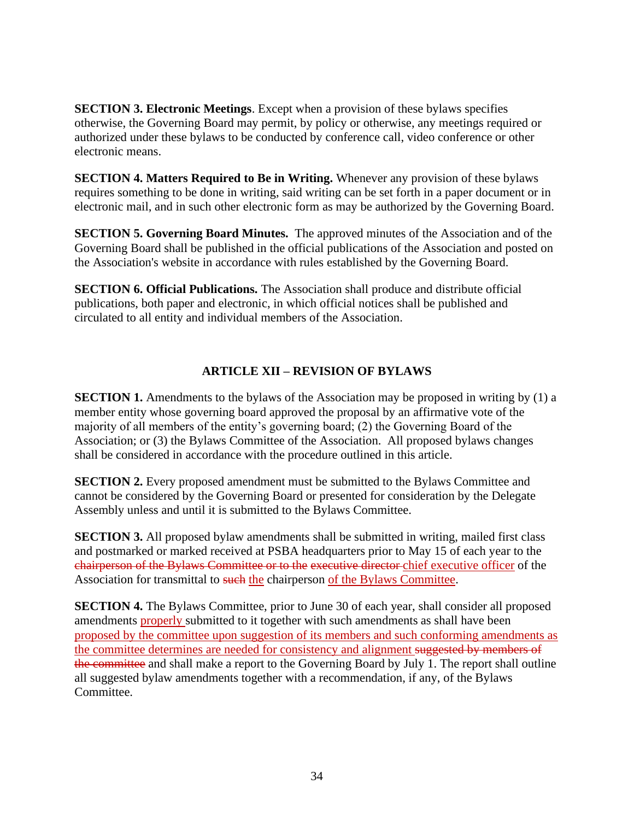**SECTION 3. Electronic Meetings**. Except when a provision of these bylaws specifies otherwise, the Governing Board may permit, by policy or otherwise, any meetings required or authorized under these bylaws to be conducted by conference call, video conference or other electronic means.

**SECTION 4. Matters Required to Be in Writing.** Whenever any provision of these bylaws requires something to be done in writing, said writing can be set forth in a paper document or in electronic mail, and in such other electronic form as may be authorized by the Governing Board.

**SECTION 5. Governing Board Minutes.** The approved minutes of the Association and of the Governing Board shall be published in the official publications of the Association and posted on the Association's website in accordance with rules established by the Governing Board.

**SECTION 6. Official Publications.** The Association shall produce and distribute official publications, both paper and electronic, in which official notices shall be published and circulated to all entity and individual members of the Association.

## **ARTICLE XII – REVISION OF BYLAWS**

**SECTION 1.** Amendments to the bylaws of the Association may be proposed in writing by (1) a member entity whose governing board approved the proposal by an affirmative vote of the majority of all members of the entity's governing board; (2) the Governing Board of the Association; or (3) the Bylaws Committee of the Association. All proposed bylaws changes shall be considered in accordance with the procedure outlined in this article.

**SECTION 2.** Every proposed amendment must be submitted to the Bylaws Committee and cannot be considered by the Governing Board or presented for consideration by the Delegate Assembly unless and until it is submitted to the Bylaws Committee.

**SECTION 3.** All proposed by law amendments shall be submitted in writing, mailed first class and postmarked or marked received at PSBA headquarters prior to May 15 of each year to the chairperson of the Bylaws Committee or to the executive director chief executive officer of the Association for transmittal to such the chairperson of the Bylaws Committee.

**SECTION 4.** The Bylaws Committee, prior to June 30 of each year, shall consider all proposed amendments properly submitted to it together with such amendments as shall have been proposed by the committee upon suggestion of its members and such conforming amendments as the committee determines are needed for consistency and alignment suggested by members of the committee and shall make a report to the Governing Board by July 1. The report shall outline all suggested bylaw amendments together with a recommendation, if any, of the Bylaws Committee.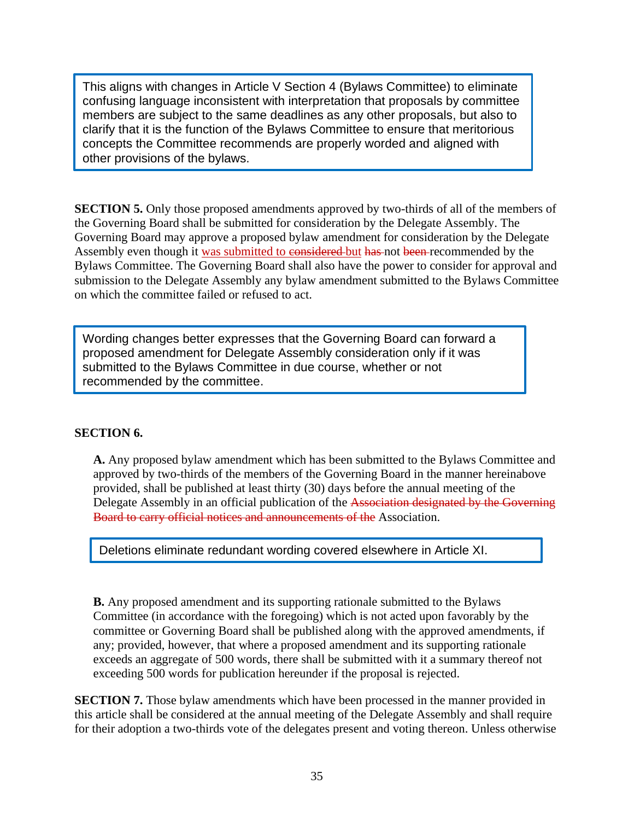This aligns with changes in Article V Section 4 (Bylaws Committee) to eliminate confusing language inconsistent with interpretation that proposals by committee members are subject to the same deadlines as any other proposals, but also to clarify that it is the function of the Bylaws Committee to ensure that meritorious concepts the Committee recommends are properly worded and aligned with other provisions of the bylaws.

**SECTION 5.** Only those proposed amendments approved by two-thirds of all of the members of the Governing Board shall be submitted for consideration by the Delegate Assembly. The Governing Board may approve a proposed bylaw amendment for consideration by the Delegate Assembly even though it was submitted to considered but has not been recommended by the Bylaws Committee. The Governing Board shall also have the power to consider for approval and submission to the Delegate Assembly any bylaw amendment submitted to the Bylaws Committee on which the committee failed or refused to act.

Wording changes better expresses that the Governing Board can forward a proposed amendment for Delegate Assembly consideration only if it was submitted to the Bylaws Committee in due course, whether or not recommended by the committee.

## **SECTION 6.**

**A.** Any proposed bylaw amendment which has been submitted to the Bylaws Committee and approved by two-thirds of the members of the Governing Board in the manner hereinabove provided, shall be published at least thirty (30) days before the annual meeting of the Delegate Assembly in an official publication of the Association designated by the Governing Board to carry official notices and announcements of the Association.

Deletions eliminate redundant wording covered elsewhere in Article XI.

**B.** Any proposed amendment and its supporting rationale submitted to the Bylaws Committee (in accordance with the foregoing) which is not acted upon favorably by the committee or Governing Board shall be published along with the approved amendments, if any; provided, however, that where a proposed amendment and its supporting rationale exceeds an aggregate of 500 words, there shall be submitted with it a summary thereof not exceeding 500 words for publication hereunder if the proposal is rejected.

**SECTION 7.** Those bylaw amendments which have been processed in the manner provided in this article shall be considered at the annual meeting of the Delegate Assembly and shall require for their adoption a two-thirds vote of the delegates present and voting thereon. Unless otherwise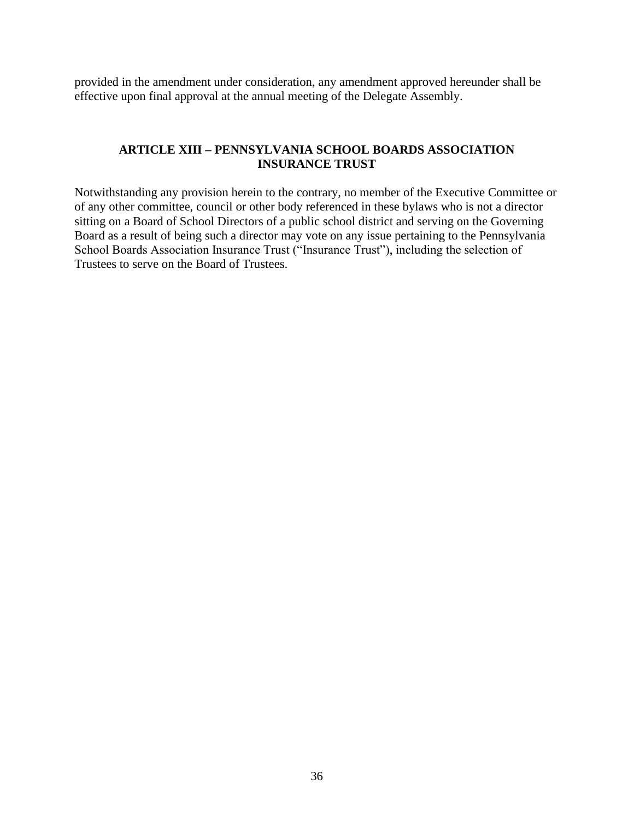provided in the amendment under consideration, any amendment approved hereunder shall be effective upon final approval at the annual meeting of the Delegate Assembly.

## **ARTICLE XIII – PENNSYLVANIA SCHOOL BOARDS ASSOCIATION INSURANCE TRUST**

Notwithstanding any provision herein to the contrary, no member of the Executive Committee or of any other committee, council or other body referenced in these bylaws who is not a director sitting on a Board of School Directors of a public school district and serving on the Governing Board as a result of being such a director may vote on any issue pertaining to the Pennsylvania School Boards Association Insurance Trust ("Insurance Trust"), including the selection of Trustees to serve on the Board of Trustees.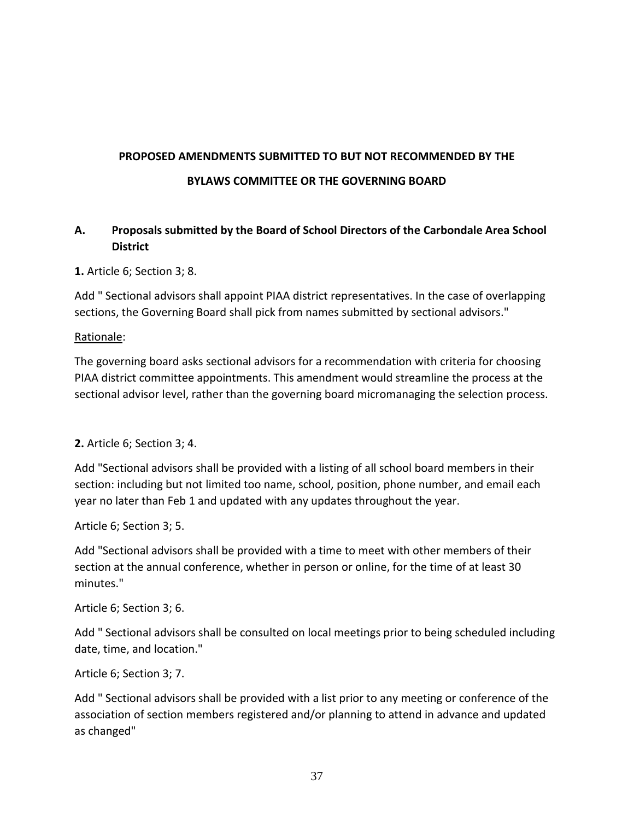# **PROPOSED AMENDMENTS SUBMITTED TO BUT NOT RECOMMENDED BY THE BYLAWS COMMITTEE OR THE GOVERNING BOARD**

## **A. Proposals submitted by the Board of School Directors of the Carbondale Area School District**

**1.** Article 6; Section 3; 8.

Add " Sectional advisors shall appoint PIAA district representatives. In the case of overlapping sections, the Governing Board shall pick from names submitted by sectional advisors."

#### Rationale:

The governing board asks sectional advisors for a recommendation with criteria for choosing PIAA district committee appointments. This amendment would streamline the process at the sectional advisor level, rather than the governing board micromanaging the selection process.

## **2.** Article 6; Section 3; 4.

Add "Sectional advisors shall be provided with a listing of all school board members in their section: including but not limited too name, school, position, phone number, and email each year no later than Feb 1 and updated with any updates throughout the year.

Article 6; Section 3; 5.

Add "Sectional advisors shall be provided with a time to meet with other members of their section at the annual conference, whether in person or online, for the time of at least 30 minutes."

Article 6; Section 3; 6.

Add " Sectional advisors shall be consulted on local meetings prior to being scheduled including date, time, and location."

Article 6; Section 3; 7.

Add " Sectional advisors shall be provided with a list prior to any meeting or conference of the association of section members registered and/or planning to attend in advance and updated as changed"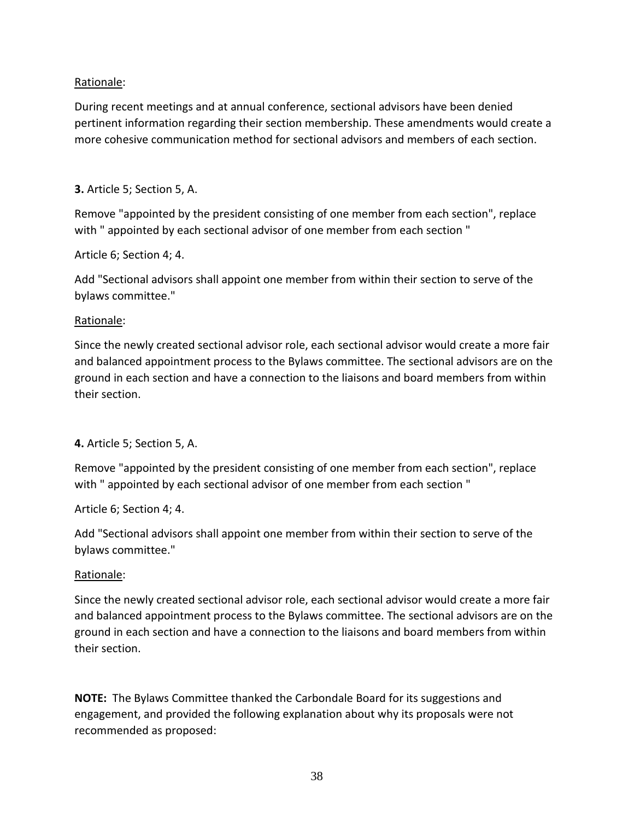## Rationale:

During recent meetings and at annual conference, sectional advisors have been denied pertinent information regarding their section membership. These amendments would create a more cohesive communication method for sectional advisors and members of each section.

## **3.** Article 5; Section 5, A.

Remove "appointed by the president consisting of one member from each section", replace with " appointed by each sectional advisor of one member from each section "

## Article 6; Section 4; 4.

Add "Sectional advisors shall appoint one member from within their section to serve of the bylaws committee."

## Rationale:

Since the newly created sectional advisor role, each sectional advisor would create a more fair and balanced appointment process to the Bylaws committee. The sectional advisors are on the ground in each section and have a connection to the liaisons and board members from within their section.

## **4.** Article 5; Section 5, A.

Remove "appointed by the president consisting of one member from each section", replace with " appointed by each sectional advisor of one member from each section "

## Article 6; Section 4; 4.

Add "Sectional advisors shall appoint one member from within their section to serve of the bylaws committee."

## Rationale:

Since the newly created sectional advisor role, each sectional advisor would create a more fair and balanced appointment process to the Bylaws committee. The sectional advisors are on the ground in each section and have a connection to the liaisons and board members from within their section.

**NOTE:** The Bylaws Committee thanked the Carbondale Board for its suggestions and engagement, and provided the following explanation about why its proposals were not recommended as proposed: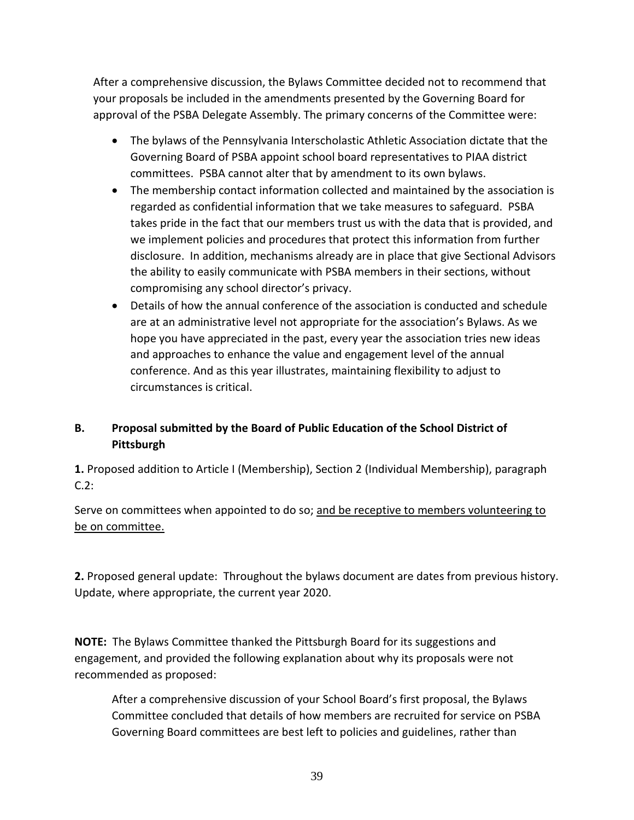After a comprehensive discussion, the Bylaws Committee decided not to recommend that your proposals be included in the amendments presented by the Governing Board for approval of the PSBA Delegate Assembly. The primary concerns of the Committee were:

- The bylaws of the Pennsylvania Interscholastic Athletic Association dictate that the Governing Board of PSBA appoint school board representatives to PIAA district committees. PSBA cannot alter that by amendment to its own bylaws.
- The membership contact information collected and maintained by the association is regarded as confidential information that we take measures to safeguard. PSBA takes pride in the fact that our members trust us with the data that is provided, and we implement policies and procedures that protect this information from further disclosure. In addition, mechanisms already are in place that give Sectional Advisors the ability to easily communicate with PSBA members in their sections, without compromising any school director's privacy.
- Details of how the annual conference of the association is conducted and schedule are at an administrative level not appropriate for the association's Bylaws. As we hope you have appreciated in the past, every year the association tries new ideas and approaches to enhance the value and engagement level of the annual conference. And as this year illustrates, maintaining flexibility to adjust to circumstances is critical.

## **B. Proposal submitted by the Board of Public Education of the School District of Pittsburgh**

**1.** Proposed addition to Article I (Membership), Section 2 (Individual Membership), paragraph C.2:

Serve on committees when appointed to do so; and be receptive to members volunteering to be on committee.

**2.** Proposed general update: Throughout the bylaws document are dates from previous history. Update, where appropriate, the current year 2020.

**NOTE:** The Bylaws Committee thanked the Pittsburgh Board for its suggestions and engagement, and provided the following explanation about why its proposals were not recommended as proposed:

After a comprehensive discussion of your School Board's first proposal, the Bylaws Committee concluded that details of how members are recruited for service on PSBA Governing Board committees are best left to policies and guidelines, rather than